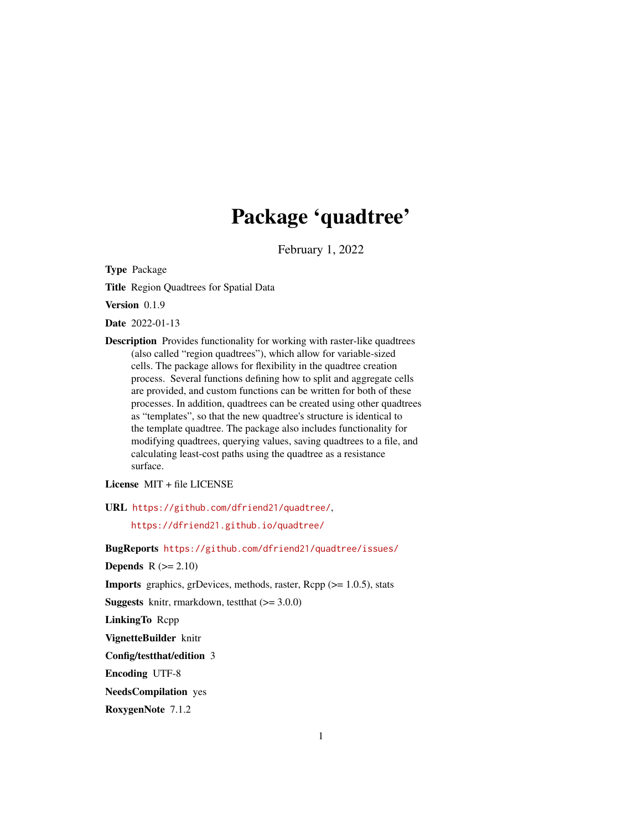# Package 'quadtree'

February 1, 2022

<span id="page-0-0"></span>Type Package

Title Region Quadtrees for Spatial Data

Version 0.1.9

Date 2022-01-13

Description Provides functionality for working with raster-like quadtrees (also called "region quadtrees"), which allow for variable-sized cells. The package allows for flexibility in the quadtree creation process. Several functions defining how to split and aggregate cells are provided, and custom functions can be written for both of these processes. In addition, quadtrees can be created using other quadtrees as "templates", so that the new quadtree's structure is identical to the template quadtree. The package also includes functionality for modifying quadtrees, querying values, saving quadtrees to a file, and calculating least-cost paths using the quadtree as a resistance surface.

License MIT + file LICENSE

URL <https://github.com/dfriend21/quadtree/>,

<https://dfriend21.github.io/quadtree/>

BugReports <https://github.com/dfriend21/quadtree/issues/>

Depends  $R (= 2.10)$ 

**Imports** graphics, grDevices, methods, raster,  $\text{Rcpp}$  ( $> = 1.0.5$ ), stats

**Suggests** knitr, rmarkdown, test that  $(>= 3.0.0)$ 

LinkingTo Rcpp

VignetteBuilder knitr

Config/testthat/edition 3

Encoding UTF-8

NeedsCompilation yes

RoxygenNote 7.1.2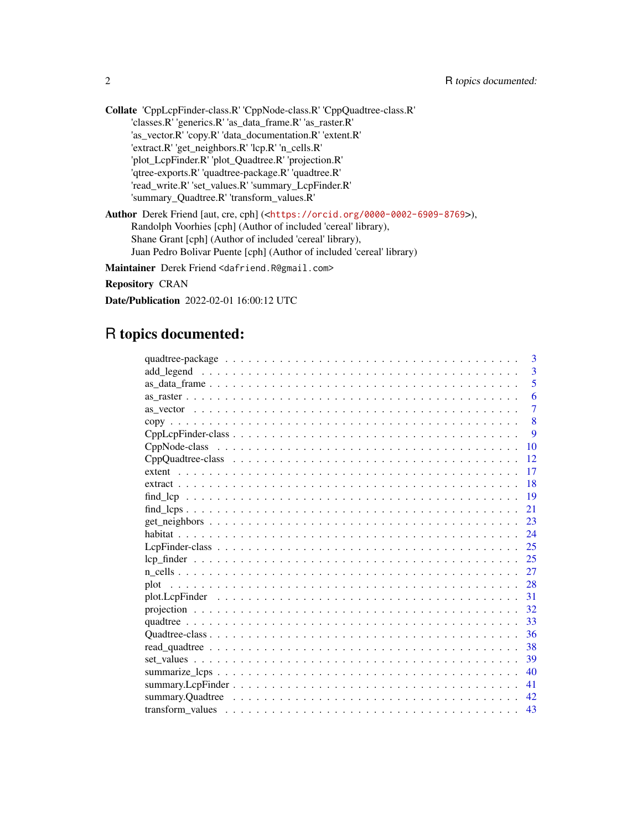Collate 'CppLcpFinder-class.R' 'CppNode-class.R' 'CppQuadtree-class.R' 'classes.R' 'generics.R' 'as\_data\_frame.R' 'as\_raster.R' 'as\_vector.R' 'copy.R' 'data\_documentation.R' 'extent.R' 'extract.R' 'get\_neighbors.R' 'lcp.R' 'n\_cells.R' 'plot\_LcpFinder.R' 'plot\_Quadtree.R' 'projection.R' 'qtree-exports.R' 'quadtree-package.R' 'quadtree.R' 'read\_write.R' 'set\_values.R' 'summary\_LcpFinder.R' 'summary\_Quadtree.R' 'transform\_values.R'

Author Derek Friend [aut, cre, cph] (<<https://orcid.org/0000-0002-6909-8769>>), Randolph Voorhies [cph] (Author of included 'cereal' library), Shane Grant [cph] (Author of included 'cereal' library), Juan Pedro Bolivar Puente [cph] (Author of included 'cereal' library)

Maintainer Derek Friend <dafriend.R@gmail.com>

Repository CRAN

Date/Publication 2022-02-01 16:00:12 UTC

# R topics documented:

|  | 3              |
|--|----------------|
|  | $\overline{3}$ |
|  | 5              |
|  | 6              |
|  | $\overline{7}$ |
|  | 8              |
|  | 9              |
|  | 10             |
|  | 12             |
|  | 17             |
|  | 18             |
|  | 19             |
|  | 21             |
|  | 23             |
|  | 24             |
|  | 25             |
|  | 25             |
|  | 27             |
|  |                |
|  | 31             |
|  | 32             |
|  | 33             |
|  | 36             |
|  | 38             |
|  | 39             |
|  | 40             |
|  | 41             |
|  | 42             |
|  | 43             |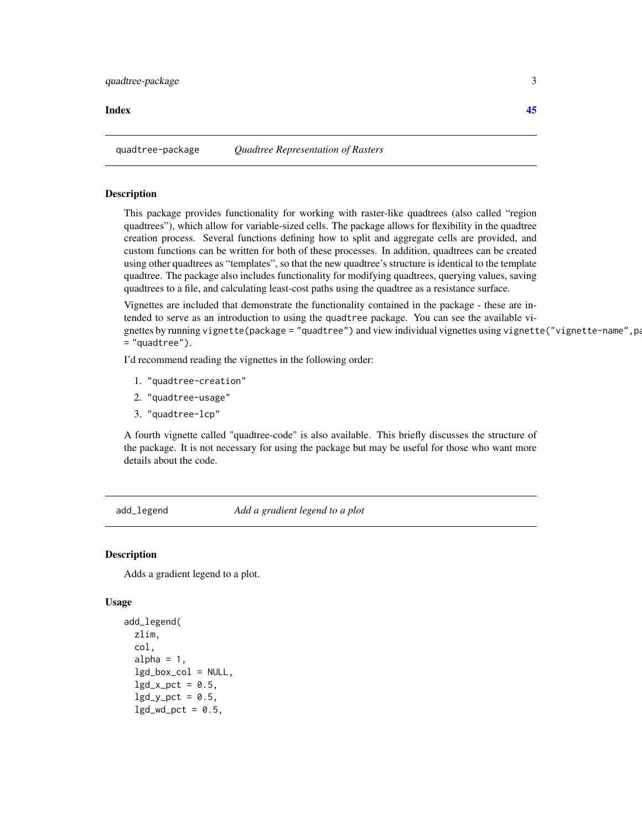#### <span id="page-2-0"></span>**Index** [45](#page-44-0)

quadtree-package *Quadtree Representation of Rasters*

## Description

This package provides functionality for working with raster-like quadtrees (also called "region quadtrees"), which allow for variable-sized cells. The package allows for flexibility in the quadtree creation process. Several functions defining how to split and aggregate cells are provided, and custom functions can be written for both of these processes. In addition, quadtrees can be created using other quadtrees as "templates", so that the new quadtree's structure is identical to the template quadtree. The package also includes functionality for modifying quadtrees, querying values, saving quadtrees to a file, and calculating least-cost paths using the quadtree as a resistance surface.

Vignettes are included that demonstrate the functionality contained in the package - these are intended to serve as an introduction to using the quadtree package. You can see the available vignettes by running vignette(package = "quadtree") and view individual vignettes using vignette("vignette-name", pa = "quadtree").

I'd recommend reading the vignettes in the following order:

- 1. "quadtree-creation"
- 2. "quadtree-usage"
- 3. "quadtree-lcp"

A fourth vignette called "quadtree-code" is also available. This briefly discusses the structure of the package. It is not necessary for using the package but may be useful for those who want more details about the code.

<span id="page-2-1"></span>add\_legend *Add a gradient legend to a plot*

#### **Description**

Adds a gradient legend to a plot.

```
add_legend(
 zlim,
  col,
 alpha = 1,
  lgd_box_col = NULL,
  lgd_x_pct = 0.5,
  lgd_y_pct = 0.5,
 lgd_wd_pct = 0.5,
```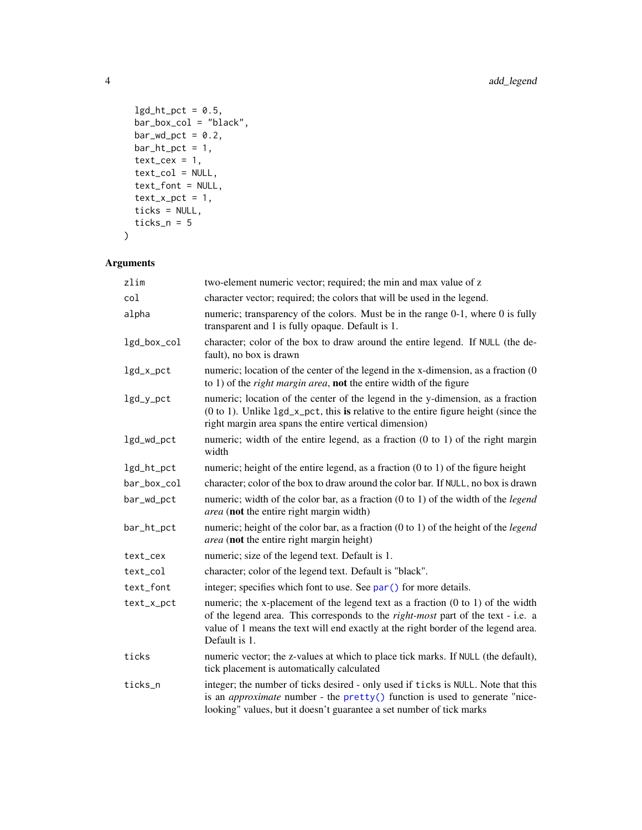```
lgd_ht_pct = 0.5,
 bar_box_col = "black",
 bar_w/d_pct = 0.2,
 bar_ht_pct = 1,
 text\_cex = 1,
 text_col = NULL,
 text_font = NULL,
  text_xpct = 1,
 ticks = NULL,
 ticks_n = 5\mathcal{L}
```
## Arguments

| zlim        | two-element numeric vector; required; the min and max value of z                                                                                                                                                                                                                             |
|-------------|----------------------------------------------------------------------------------------------------------------------------------------------------------------------------------------------------------------------------------------------------------------------------------------------|
| col         | character vector; required; the colors that will be used in the legend.                                                                                                                                                                                                                      |
| alpha       | numeric; transparency of the colors. Must be in the range 0-1, where 0 is fully<br>transparent and 1 is fully opaque. Default is 1.                                                                                                                                                          |
| lgd_box_col | character; color of the box to draw around the entire legend. If NULL (the de-<br>fault), no box is drawn                                                                                                                                                                                    |
| lgd_x_pct   | numeric; location of the center of the legend in the x-dimension, as a fraction (0<br>to 1) of the <i>right margin area</i> , <b>not</b> the entire width of the figure                                                                                                                      |
| lgd_y_pct   | numeric; location of the center of the legend in the y-dimension, as a fraction<br>$(0 to 1)$ . Unlike $lgd_x$ -pct, this is relative to the entire figure height (since the<br>right margin area spans the entire vertical dimension)                                                       |
| lgd_wd_pct  | numeric; width of the entire legend, as a fraction $(0 \text{ to } 1)$ of the right margin<br>width                                                                                                                                                                                          |
| lgd_ht_pct  | numeric; height of the entire legend, as a fraction $(0 \text{ to } 1)$ of the figure height                                                                                                                                                                                                 |
| bar_box_col | character; color of the box to draw around the color bar. If NULL, no box is drawn                                                                                                                                                                                                           |
| bar_wd_pct  | numeric; width of the color bar, as a fraction $(0 \text{ to } 1)$ of the width of the <i>legend</i><br>area (not the entire right margin width)                                                                                                                                             |
| bar_ht_pct  | numeric; height of the color bar, as a fraction $(0 \text{ to } 1)$ of the height of the <i>legend</i><br>area (not the entire right margin height)                                                                                                                                          |
| text_cex    | numeric; size of the legend text. Default is 1.                                                                                                                                                                                                                                              |
| text_col    | character; color of the legend text. Default is "black".                                                                                                                                                                                                                                     |
| text_font   | integer; specifies which font to use. See par () for more details.                                                                                                                                                                                                                           |
| text_x_pct  | numeric; the x-placement of the legend text as a fraction $(0 \text{ to } 1)$ of the width<br>of the legend area. This corresponds to the <i>right-most</i> part of the text - i.e. a<br>value of 1 means the text will end exactly at the right border of the legend area.<br>Default is 1. |
| ticks       | numeric vector; the z-values at which to place tick marks. If NULL (the default),<br>tick placement is automatically calculated                                                                                                                                                              |
| ticks_n     | integer; the number of ticks desired - only used if ticks is NULL. Note that this<br>is an <i>approximate</i> number - the pretty() function is used to generate "nice-<br>looking" values, but it doesn't guarantee a set number of tick marks                                              |

<span id="page-3-0"></span>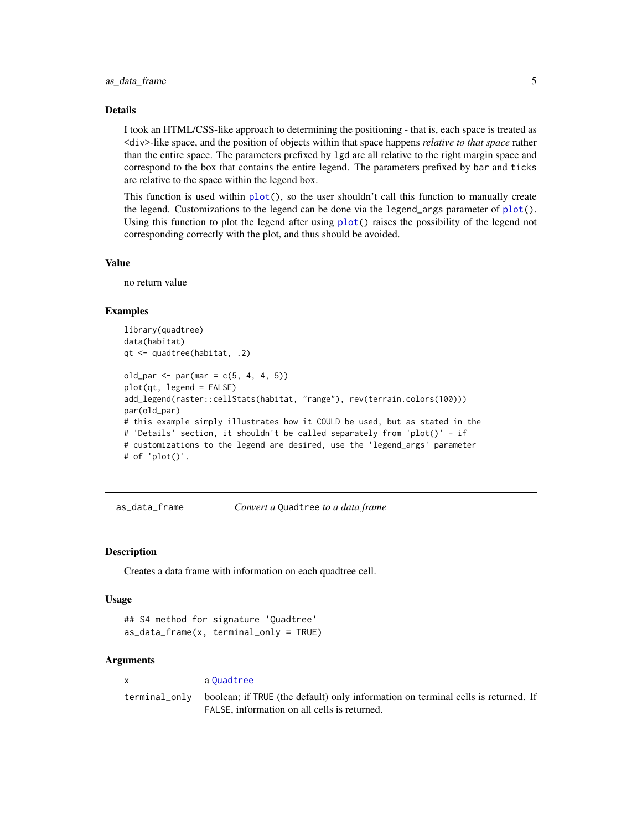## <span id="page-4-0"></span>Details

I took an HTML/CSS-like approach to determining the positioning - that is, each space is treated as <div>-like space, and the position of objects within that space happens *relative to that space* rather than the entire space. The parameters prefixed by lgd are all relative to the right margin space and correspond to the box that contains the entire legend. The parameters prefixed by bar and ticks are relative to the space within the legend box.

This function is used within  $plot()$  $plot()$ , so the user shouldn't call this function to manually create the legend. Customizations to the legend can be done via the legend args parameter of  $plot()$  $plot()$ . Using this function to plot the legend after using [plot\(](#page-27-1)) raises the possibility of the legend not corresponding correctly with the plot, and thus should be avoided.

#### Value

no return value

#### Examples

```
library(quadtree)
data(habitat)
qt <- quadtree(habitat, .2)
old_par <- par(mar = c(5, 4, 4, 5))plot(qt, legend = FALSE)
add_legend(raster::cellStats(habitat, "range"), rev(terrain.colors(100)))
par(old_par)
# this example simply illustrates how it COULD be used, but as stated in the
# 'Details' section, it shouldn't be called separately from 'plot()' - if
# customizations to the legend are desired, use the 'legend_args' parameter
# of 'plot()'.
```
<span id="page-4-1"></span>as\_data\_frame *Convert a* Quadtree *to a data frame*

#### **Description**

Creates a data frame with information on each quadtree cell.

#### Usage

```
## S4 method for signature 'Quadtree'
as_data_frame(x, terminal_only = TRUE)
```
#### Arguments

x a [Quadtree](#page-35-1) terminal\_only boolean; if TRUE (the default) only information on terminal cells is returned. If FALSE, information on all cells is returned.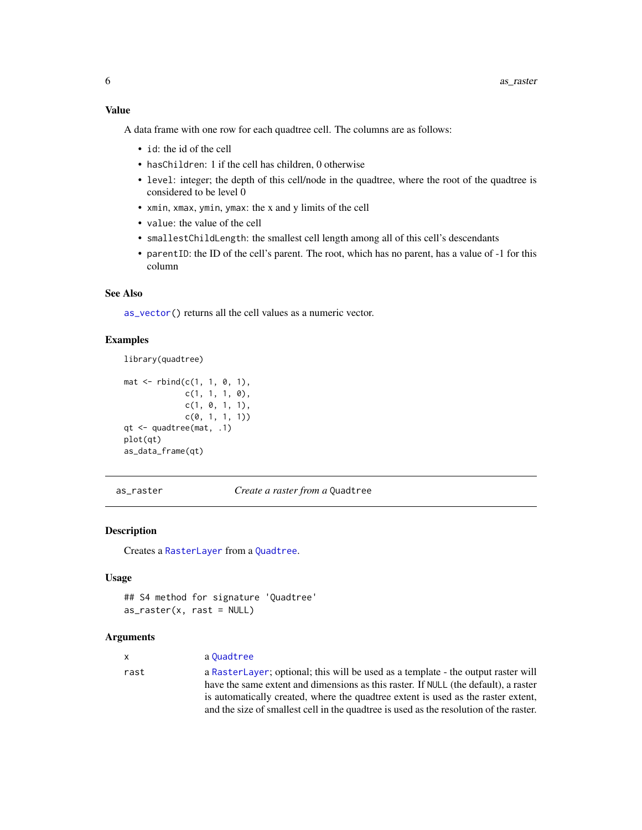## <span id="page-5-0"></span>Value

A data frame with one row for each quadtree cell. The columns are as follows:

- id: the id of the cell
- hasChildren: 1 if the cell has children, 0 otherwise
- level: integer; the depth of this cell/node in the quadtree, where the root of the quadtree is considered to be level 0
- xmin, xmax, ymin, ymax: the x and y limits of the cell
- value: the value of the cell
- smallestChildLength: the smallest cell length among all of this cell's descendants
- parentID: the ID of the cell's parent. The root, which has no parent, has a value of -1 for this column

## See Also

[as\\_vector\(](#page-6-1)) returns all the cell values as a numeric vector.

## Examples

```
library(quadtree)
mat < -rbind(c(1, 1, 0, 1),c(1, 1, 1, 0),
            c(1, 0, 1, 1),
            c(0, 1, 1, 1))qt <- quadtree(mat, .1)
plot(qt)
as_data_frame(qt)
```
<span id="page-5-1"></span>as\_raster *Create a raster from a* Quadtree

#### Description

Creates a [RasterLayer](#page-0-0) from a [Quadtree](#page-35-1).

#### Usage

```
## S4 method for signature 'Quadtree'
as\_raster(x, rast = NULL)
```
## Arguments

| <b>X</b> | a Ouadtree                                                                                                                                                               |
|----------|--------------------------------------------------------------------------------------------------------------------------------------------------------------------------|
| rast     | a RasterLayer; optional; this will be used as a template - the output raster will<br>have the same extent and dimensions as this raster. If NULL (the default), a raster |
|          | is automatically created, where the quadtree extent is used as the raster extent,                                                                                        |
|          | and the size of smallest cell in the quadtree is used as the resolution of the raster.                                                                                   |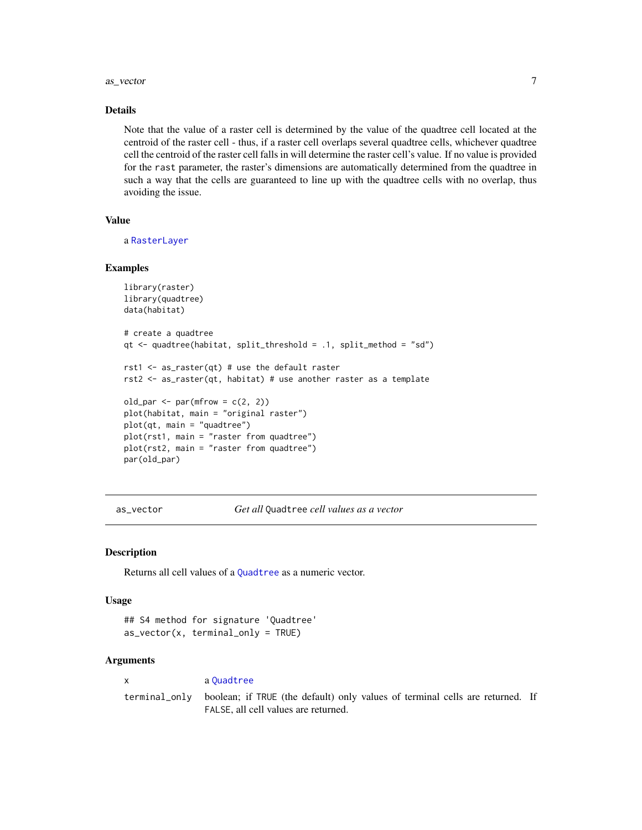#### <span id="page-6-0"></span>as\_vector 7

## Details

Note that the value of a raster cell is determined by the value of the quadtree cell located at the centroid of the raster cell - thus, if a raster cell overlaps several quadtree cells, whichever quadtree cell the centroid of the raster cell falls in will determine the raster cell's value. If no value is provided for the rast parameter, the raster's dimensions are automatically determined from the quadtree in such a way that the cells are guaranteed to line up with the quadtree cells with no overlap, thus avoiding the issue.

#### Value

a [RasterLayer](#page-0-0)

#### Examples

```
library(raster)
library(quadtree)
data(habitat)
# create a quadtree
qt <- quadtree(habitat, split_threshold = .1, split_method = "sd")
rst1 \leq as_raster(qt) # use the default raster
rst2 <- as_raster(qt, habitat) # use another raster as a template
old_par \leq par(mfrow = c(2, 2))
plot(habitat, main = "original raster")
plot(qt, main = "quadtree")
plot(rst1, main = "raster from quadtree")
plot(rst2, main = "raster from quadtree")
par(old_par)
```
<span id="page-6-1"></span>as\_vector *Get all* Quadtree *cell values as a vector*

#### Description

Returns all cell values of a [Quadtree](#page-35-1) as a numeric vector.

#### Usage

```
## S4 method for signature 'Quadtree'
as\_vector(x, terminal\_only = TRUE)
```
#### Arguments

x a [Quadtree](#page-35-1) terminal\_only boolean; if TRUE (the default) only values of terminal cells are returned. If FALSE, all cell values are returned.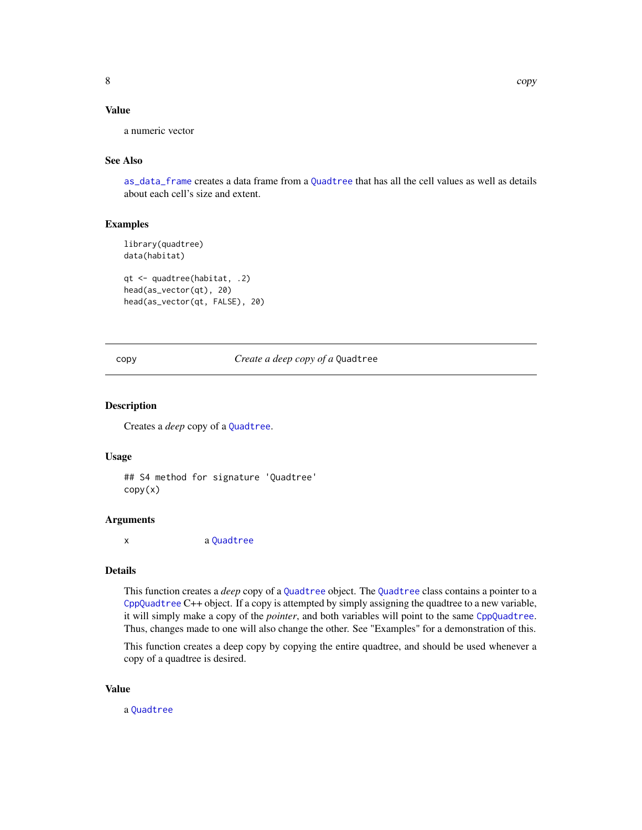## <span id="page-7-0"></span>Value

a numeric vector

## See Also

[as\\_data\\_frame](#page-4-1) creates a data frame from a [Quadtree](#page-35-1) that has all the cell values as well as details about each cell's size and extent.

## Examples

```
library(quadtree)
data(habitat)
qt <- quadtree(habitat, .2)
head(as_vector(qt), 20)
head(as_vector(qt, FALSE), 20)
```
<span id="page-7-1"></span>copy *Create a deep copy of a* Quadtree

#### Description

Creates a *deep* copy of a [Quadtree](#page-35-1).

#### Usage

## S4 method for signature 'Quadtree' copy(x)

#### Arguments

x a [Quadtree](#page-35-1)

## Details

This function creates a *deep* copy of a [Quadtree](#page-35-1) object. The [Quadtree](#page-35-1) class contains a pointer to a [CppQuadtree](#page-11-1) C++ object. If a copy is attempted by simply assigning the quadtree to a new variable, it will simply make a copy of the *pointer*, and both variables will point to the same [CppQuadtree](#page-11-1). Thus, changes made to one will also change the other. See "Examples" for a demonstration of this.

This function creates a deep copy by copying the entire quadtree, and should be used whenever a copy of a quadtree is desired.

#### Value

a [Quadtree](#page-35-1)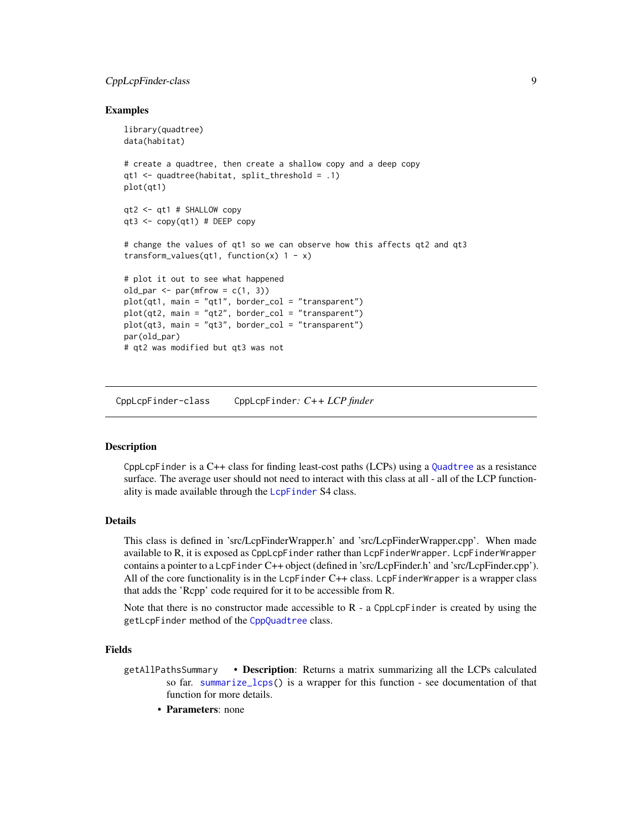## <span id="page-8-0"></span>CppLcpFinder-class 9

## Examples

```
library(quadtree)
data(habitat)
# create a quadtree, then create a shallow copy and a deep copy
qt1 <- quadtree(habitat, split_threshold = .1)
plot(qt1)
qt2 <- qt1 # SHALLOW copy
qt3 <- copy(qt1) # DEEP copy
# change the values of qt1 so we can observe how this affects qt2 and qt3
transform_values(qt1, function(x) 1 - x)
# plot it out to see what happened
old_par \leq par(mfrow = c(1, 3))
plot(qt1, main = "qt1", border\_col = "transparent")plot(qt2, main = "qt2", border\_col = "transparent")plot(qt3, main = "qt3", border\_col = "transparent")par(old_par)
# qt2 was modified but qt3 was not
```
CppLcpFinder-class CppLcpFinder*: C++ LCP finder*

#### <span id="page-8-1"></span>Description

CppLcpFinder is a C++ class for finding least-cost paths (LCPs) using a [Quadtree](#page-35-1) as a resistance surface. The average user should not need to interact with this class at all - all of the LCP function-ality is made available through the [LcpFinder](#page-24-1) S4 class.

## Details

This class is defined in 'src/LcpFinderWrapper.h' and 'src/LcpFinderWrapper.cpp'. When made available to R, it is exposed as CppLcpFinder rather than LcpFinderWrapper. LcpFinderWrapper contains a pointer to a LcpFinder C++ object (defined in 'src/LcpFinder.h' and 'src/LcpFinder.cpp'). All of the core functionality is in the  $LepFinder$  C++ class. LcpFinderWrapper is a wrapper class that adds the 'Rcpp' code required for it to be accessible from R.

Note that there is no constructor made accessible to  $R$  - a CppLcpFinder is created by using the getLcpFinder method of the [CppQuadtree](#page-11-1) class.

#### Fields

- getAllPathsSummary Description: Returns a matrix summarizing all the LCPs calculated so far. [summarize\\_lcps\(](#page-39-1)) is a wrapper for this function - see documentation of that function for more details.
	- Parameters: none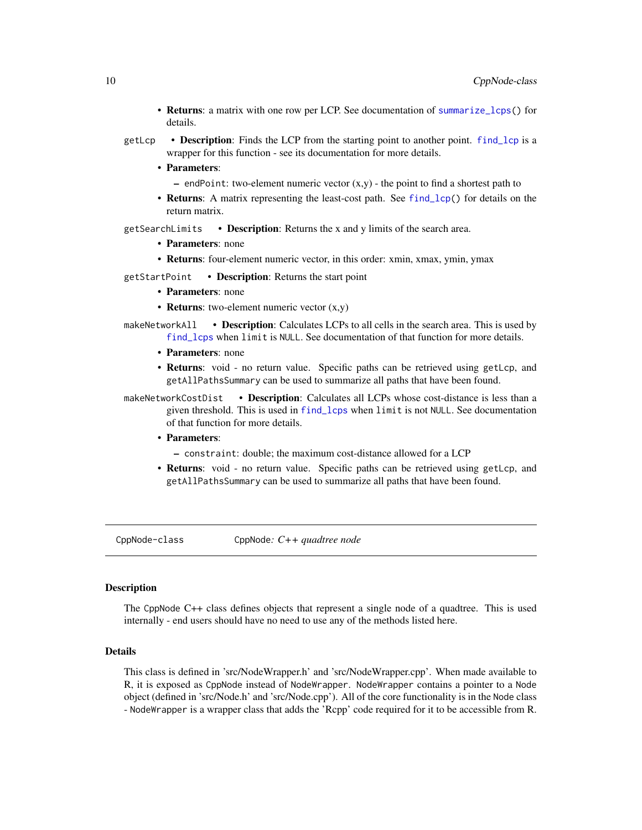- <span id="page-9-0"></span>• Returns: a matrix with one row per LCP. See documentation of [summarize\\_lcps\(](#page-39-1)) for details.
- getLcp **Description**: Finds the LCP from the starting point to another point. find lcp is a wrapper for this function - see its documentation for more details.
	- Parameters:
		- $-$  endPoint: two-element numeric vector  $(x,y)$  the point to find a shortest path to
	- Returns: A matrix representing the least-cost path. See [find\\_lcp\(](#page-18-1)) for details on the return matrix.
- getSearchLimits Description: Returns the x and y limits of the search area.
	- Parameters: none
	- Returns: four-element numeric vector, in this order: xmin, xmax, ymin, ymax

getStartPoint • Description: Returns the start point

- Parameters: none
- **Returns:** two-element numeric vector  $(x,y)$
- makeNetworkAll Description: Calculates LCPs to all cells in the search area. This is used by [find\\_lcps](#page-20-1) when limit is NULL. See documentation of that function for more details.
	- Parameters: none
	- Returns: void no return value. Specific paths can be retrieved using getLcp, and getAllPathsSummary can be used to summarize all paths that have been found.
- makeNetworkCostDist Description: Calculates all LCPs whose cost-distance is less than a given threshold. This is used in [find\\_lcps](#page-20-1) when limit is not NULL. See documentation of that function for more details.
	- Parameters:
		- constraint: double; the maximum cost-distance allowed for a LCP
	- Returns: void no return value. Specific paths can be retrieved using getLcp, and getAllPathsSummary can be used to summarize all paths that have been found.

CppNode-class CppNode*: C++ quadtree node*

## <span id="page-9-1"></span>**Description**

The CppNode C++ class defines objects that represent a single node of a quadtree. This is used internally - end users should have no need to use any of the methods listed here.

## Details

This class is defined in 'src/NodeWrapper.h' and 'src/NodeWrapper.cpp'. When made available to R, it is exposed as CppNode instead of NodeWrapper. NodeWrapper contains a pointer to a Node object (defined in 'src/Node.h' and 'src/Node.cpp'). All of the core functionality is in the Node class - NodeWrapper is a wrapper class that adds the 'Rcpp' code required for it to be accessible from R.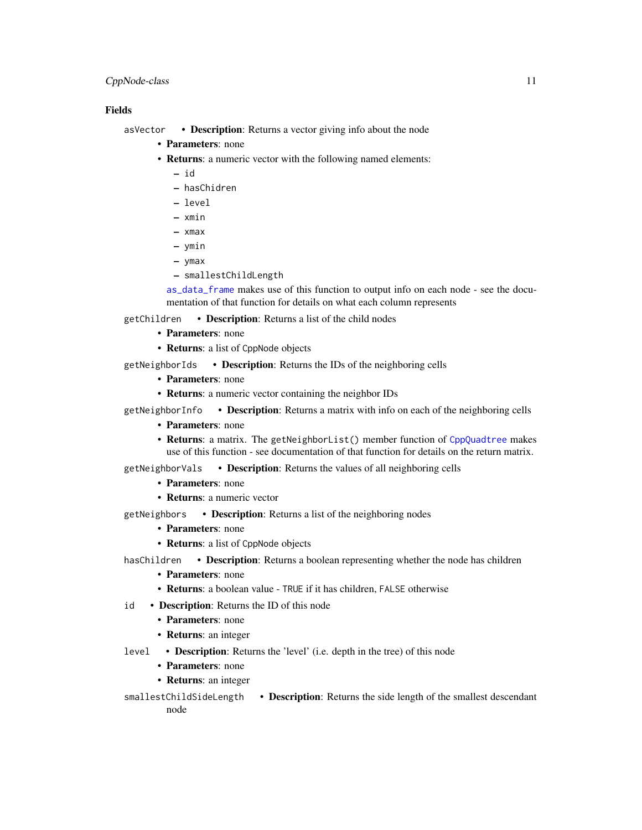## <span id="page-10-0"></span>CppNode-class 11

## Fields

asVector • Description: Returns a vector giving info about the node

- Parameters: none
- Returns: a numeric vector with the following named elements:
	- id
	- hasChidren
	- level
	- xmin
	- xmax
	- ymin
	- ymax
	- smallestChildLength

[as\\_data\\_frame](#page-4-1) makes use of this function to output info on each node - see the documentation of that function for details on what each column represents

getChildren • Description: Returns a list of the child nodes

- Parameters: none
- **Returns:** a list of CppNode objects

getNeighborIds • Description: Returns the IDs of the neighboring cells

- Parameters: none
- Returns: a numeric vector containing the neighbor IDs

getNeighborInfo • Description: Returns a matrix with info on each of the neighboring cells

- Parameters: none
- Returns: a matrix. The getNeighborList() member function of [CppQuadtree](#page-11-1) makes use of this function - see documentation of that function for details on the return matrix.

getNeighborVals • Description: Returns the values of all neighboring cells

- Parameters: none
- Returns: a numeric vector

getNeighbors • Description: Returns a list of the neighboring nodes

- Parameters: none
- Returns: a list of CppNode objects

hasChildren • Description: Returns a boolean representing whether the node has children

- Parameters: none
- Returns: a boolean value TRUE if it has children, FALSE otherwise
- id Description: Returns the ID of this node
	- Parameters: none
	- Returns: an integer
- level Description: Returns the 'level' (i.e. depth in the tree) of this node
	- Parameters: none
	- Returns: an integer
- smallestChildSideLength Description: Returns the side length of the smallest descendant node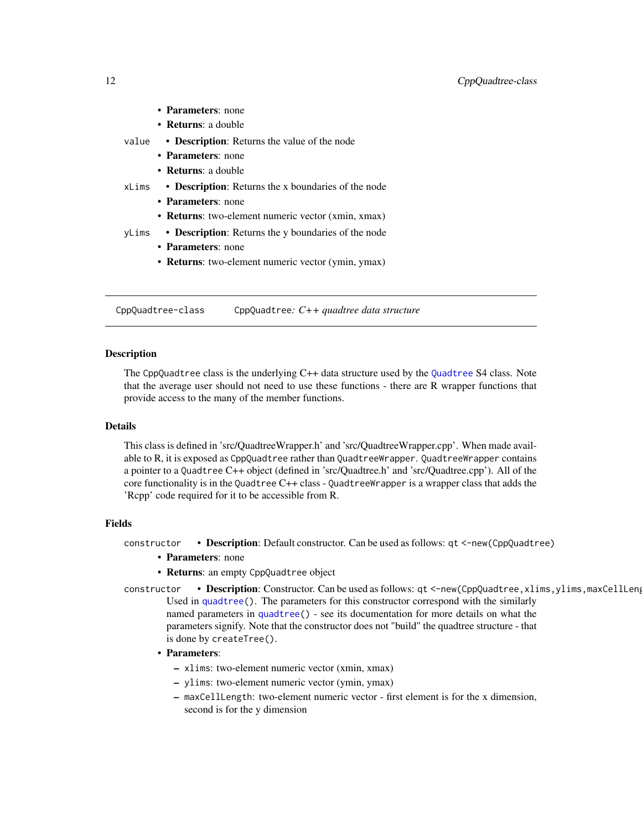<span id="page-11-0"></span>

|       | • Parameters: none                                          |
|-------|-------------------------------------------------------------|
|       | • Returns: a double                                         |
| value | • <b>Description</b> : Returns the value of the node        |
|       | • Parameters: none                                          |
|       | • <b>Returns</b> : a double                                 |
| xLims | • <b>Description</b> : Returns the x boundaries of the node |
|       | • Parameters: none                                          |
|       | • Returns: two-element numeric vector (xmin, xmax)          |
| vLims | • Description: Returns the y boundaries of the node         |
|       | • Parameters: none                                          |

• Returns: two-element numeric vector (ymin, ymax)

CppQuadtree-class CppQuadtree*: C++ quadtree data structure*

#### <span id="page-11-1"></span>Description

The CppQuadtree class is the underlying C++ data structure used by the [Quadtree](#page-35-1) S4 class. Note that the average user should not need to use these functions - there are R wrapper functions that provide access to the many of the member functions.

#### Details

This class is defined in 'src/QuadtreeWrapper.h' and 'src/QuadtreeWrapper.cpp'. When made available to R, it is exposed as CppQuadtree rather than QuadtreeWrapper. QuadtreeWrapper contains a pointer to a Quadtree C++ object (defined in 'src/Quadtree.h' and 'src/Quadtree.cpp'). All of the core functionality is in the Quadtree C++ class - QuadtreeWrapper is a wrapper class that adds the 'Rcpp' code required for it to be accessible from R.

#### Fields

constructor • Description: Default constructor. Can be used as follows: qt <-new(CppQuadtree)

- Parameters: none
- Returns: an empty CppQuadtree object
- constructor Description: Constructor. Can be used as follows: qt <-new(CppQuadtree, xlims, ylims, maxCellLeng Used in [quadtree\(](#page-32-1)). The parameters for this constructor correspond with the similarly named parameters in [quadtree\(](#page-32-1)) - see its documentation for more details on what the parameters signify. Note that the constructor does not "build" the quadtree structure - that is done by createTree().
	- Parameters:
		- xlims: two-element numeric vector (xmin, xmax)
		- ylims: two-element numeric vector (ymin, ymax)
		- maxCellLength: two-element numeric vector first element is for the x dimension, second is for the y dimension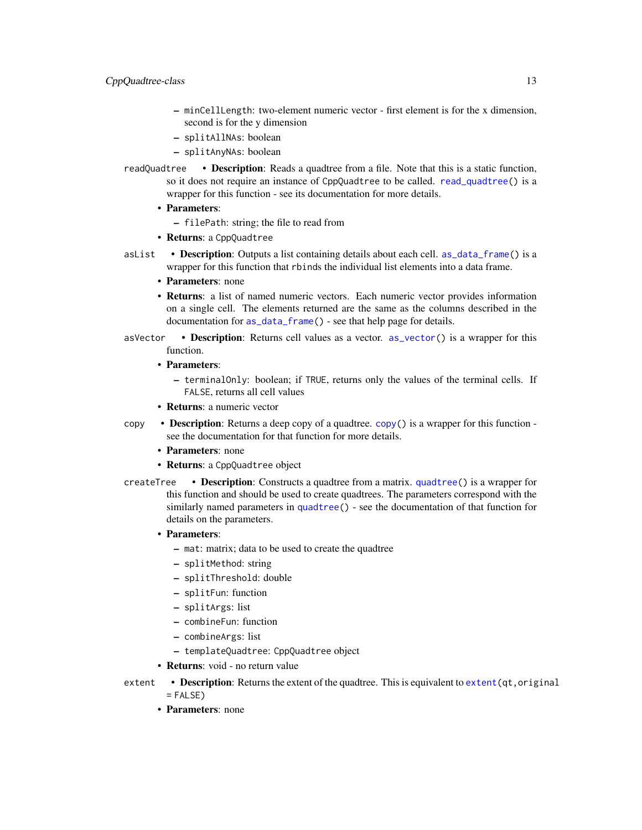- <span id="page-12-0"></span>– minCellLength: two-element numeric vector - first element is for the x dimension, second is for the y dimension
- splitAllNAs: boolean
- splitAnyNAs: boolean
- readQuadtree Description: Reads a quadtree from a file. Note that this is a static function, so it does not require an instance of CppQuadtree to be called. [read\\_quadtree\(](#page-37-1)) is a wrapper for this function - see its documentation for more details.
	- Parameters:
		- filePath: string; the file to read from
	- Returns: a CppQuadtree
- asList Description: Outputs a list containing details about each cell. [as\\_data\\_frame\(](#page-4-1)) is a wrapper for this function that rbinds the individual list elements into a data frame.
	- Parameters: none
	- Returns: a list of named numeric vectors. Each numeric vector provides information on a single cell. The elements returned are the same as the columns described in the documentation for [as\\_data\\_frame\(](#page-4-1)) - see that help page for details.
- asVector Description: Returns cell values as a vector. [as\\_vector\(](#page-6-1)) is a wrapper for this function.
	- Parameters:
		- terminalOnly: boolean; if TRUE, returns only the values of the terminal cells. If FALSE, returns all cell values
	- Returns: a numeric vector
- copy Description: Returns a deep copy of a quadtree. [copy\(](#page-7-1)) is a wrapper for this function see the documentation for that function for more details.
	- Parameters: none
	- Returns: a CppQuadtree object
- createTree **Description**: Constructs a quadtree from a matrix. [quadtree\(](#page-32-1)) is a wrapper for this function and should be used to create quadtrees. The parameters correspond with the similarly named parameters in [quadtree\(](#page-32-1)) - see the documentation of that function for details on the parameters.
	- Parameters:
		- mat: matrix; data to be used to create the quadtree
		- splitMethod: string
		- splitThreshold: double
		- splitFun: function
		- splitArgs: list
		- combineFun: function
		- combineArgs: list
		- templateQuadtree: CppQuadtree object
	- **Returns:** void no return value
- extent  $\cdot$  **Description**: Returns the extent of the quadtree. This is equivalent to extent (qt, original  $=$  FALSE)
	- Parameters: none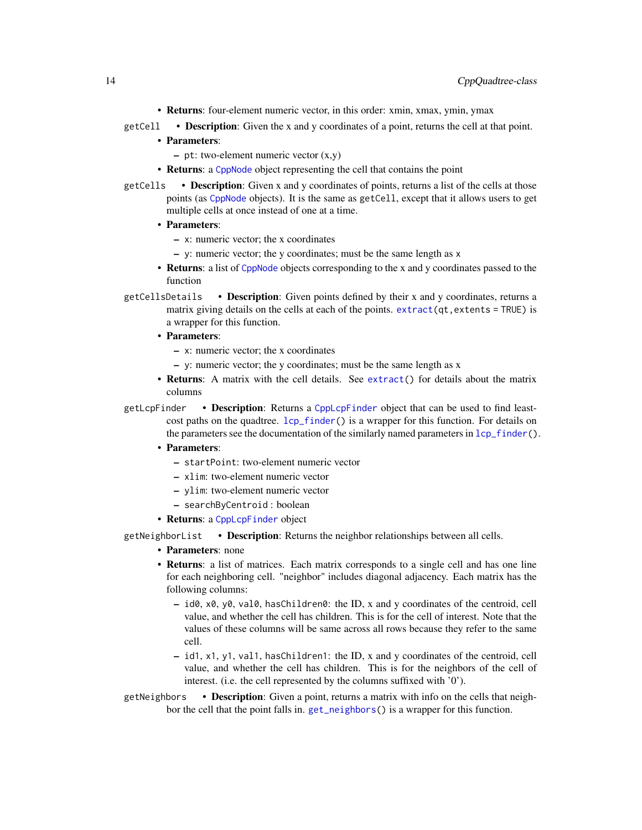- Returns: four-element numeric vector, in this order: xmin, xmax, ymin, ymax
- <span id="page-13-0"></span>getCell • Description: Given the x and y coordinates of a point, returns the cell at that point.
	- Parameters:
		- pt: two-element numeric vector (x,y)
	- **Returns:** a [CppNode](#page-9-1) object representing the cell that contains the point
- getCells Description: Given x and y coordinates of points, returns a list of the cells at those points (as [CppNode](#page-9-1) objects). It is the same as getCell, except that it allows users to get multiple cells at once instead of one at a time.
	- Parameters:
		- x: numeric vector; the x coordinates
		- y: numeric vector; the y coordinates; must be the same length as x
	- Returns: a list of [CppNode](#page-9-1) objects corresponding to the x and y coordinates passed to the function
- getCellsDetails Description: Given points defined by their x and y coordinates, returns a matrix giving details on the cells at each of the points.  $extract(qt,extents = TRUE)$  $extract(qt,extents = TRUE)$  is a wrapper for this function.
	- Parameters:
		- x: numeric vector; the x coordinates
		- y: numeric vector; the y coordinates; must be the same length as x
	- Returns: A matrix with the cell details. See [extract\(](#page-17-1)) for details about the matrix columns

getLcpFinder • Description: Returns a [CppLcpFinder](#page-8-1) object that can be used to find leastcost paths on the quadtree.  $lcp_finder()$  $lcp_finder()$  is a wrapper for this function. For details on the parameters see the documentation of the similarly named parameters in  $lcp_f$  finder().

- Parameters:
	- startPoint: two-element numeric vector
	- xlim: two-element numeric vector
	- ylim: two-element numeric vector
	- searchByCentroid : boolean
- Returns: a [CppLcpFinder](#page-8-1) object

getNeighborList • Description: Returns the neighbor relationships between all cells.

- **Parameters**: none
- Returns: a list of matrices. Each matrix corresponds to a single cell and has one line for each neighboring cell. "neighbor" includes diagonal adjacency. Each matrix has the following columns:
	- id0, x0, y0, val0, hasChildren0: the ID, x and y coordinates of the centroid, cell value, and whether the cell has children. This is for the cell of interest. Note that the values of these columns will be same across all rows because they refer to the same cell.
	- id1, x1, y1, val1, hasChildren1: the ID, x and y coordinates of the centroid, cell value, and whether the cell has children. This is for the neighbors of the cell of interest. (i.e. the cell represented by the columns suffixed with '0').
- getNeighbors **Description**: Given a point, returns a matrix with info on the cells that neighbor the cell that the point falls in. [get\\_neighbors\(](#page-22-1)) is a wrapper for this function.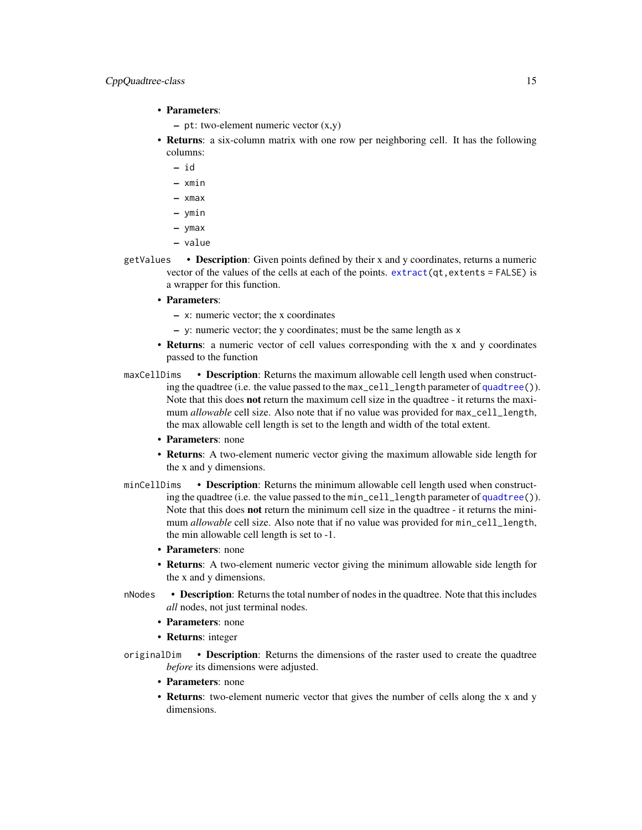- <span id="page-14-0"></span>• Parameters:
	- $-$  pt: two-element numeric vector  $(x,y)$
- **Returns**: a six-column matrix with one row per neighboring cell. It has the following columns:
	- id
	- xmin
	- xmax
	- ymin
	- ymax
	- value
- getValues Description: Given points defined by their x and y coordinates, returns a numeric vector of the values of the cells at each of the points.  $extract(qt,extents = FALSE)$  $extract(qt,extents = FALSE)$  is a wrapper for this function.
	- Parameters:
		- x: numeric vector; the x coordinates
		- $-$  y: numeric vector; the y coordinates; must be the same length as  $x$
	- Returns: a numeric vector of cell values corresponding with the x and y coordinates passed to the function
- maxCellDims Description: Returns the maximum allowable cell length used when constructing the quadtree (i.e. the value passed to the max\_cell\_length parameter of [quadtree\(](#page-32-1))). Note that this does not return the maximum cell size in the quadtree - it returns the maximum *allowable* cell size. Also note that if no value was provided for  $max_{\text{cell\_length}}$ , the max allowable cell length is set to the length and width of the total extent.
	- Parameters: none
	- Returns: A two-element numeric vector giving the maximum allowable side length for the x and y dimensions.
- minCellDims Description: Returns the minimum allowable cell length used when constructing the quadtree (i.e. the value passed to the min\_cell\_length parameter of [quadtree\(](#page-32-1))). Note that this does not return the minimum cell size in the quadtree - it returns the minimum *allowable* cell size. Also note that if no value was provided for min\_cell\_length, the min allowable cell length is set to -1.
	- Parameters: none
	- Returns: A two-element numeric vector giving the minimum allowable side length for the x and y dimensions.
- nNodes **Description**: Returns the total number of nodes in the quadtree. Note that this includes *all* nodes, not just terminal nodes.
	- Parameters: none
	- Returns: integer
- originalDim Description: Returns the dimensions of the raster used to create the quadtree *before* its dimensions were adjusted.
	- Parameters: none
	- Returns: two-element numeric vector that gives the number of cells along the x and y dimensions.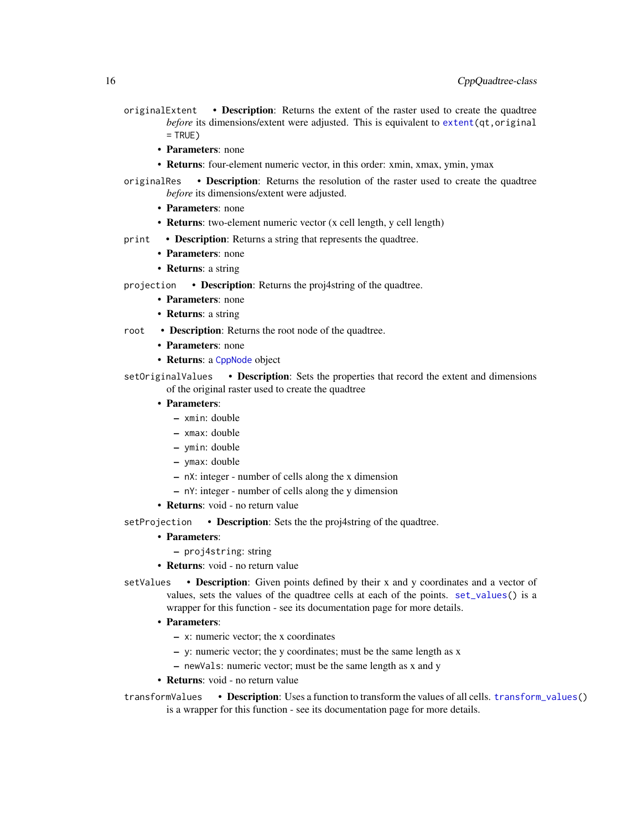- <span id="page-15-0"></span>originalExtent • Description: Returns the extent of the raster used to create the quadtree *before* its dimensions/extent were adjusted. This is equivalent to [extent\(](#page-16-1)qt,original  $=$  TRUE)
	- Parameters: none
	- Returns: four-element numeric vector, in this order: xmin, xmax, ymin, ymax
- originalRes Description: Returns the resolution of the raster used to create the quadtree *before* its dimensions/extent were adjusted.
	- Parameters: none
	- Returns: two-element numeric vector (x cell length, y cell length)
- print Description: Returns a string that represents the quadtree.
	- Parameters: none
	- **Returns**: a string
- projection **Description**: Returns the proj4string of the quadtree.
	- Parameters: none
	- **Returns**: a string
- root **Description**: Returns the root node of the quadtree.
	- Parameters: none
	- Returns: a [CppNode](#page-9-1) object
- setOriginalValues Description: Sets the properties that record the extent and dimensions of the original raster used to create the quadtree
	- Parameters:
		- xmin: double
		- xmax: double
		- ymin: double
		- ymax: double
		- nX: integer number of cells along the x dimension
		- nY: integer number of cells along the y dimension
	- Returns: void no return value
- setProjection Description: Sets the the proj4string of the quadtree.

## • Parameters:

- proj4string: string
- Returns: void no return value
- setValues **Description**: Given points defined by their x and y coordinates and a vector of values, sets the values of the quadtree cells at each of the points. [set\\_values\(](#page-38-1)) is a wrapper for this function - see its documentation page for more details.
	- Parameters:
		- x: numeric vector; the x coordinates
		- y: numeric vector; the y coordinates; must be the same length as x
		- newVals: numeric vector; must be the same length as x and y
	- Returns: void no return value

transformValues • Description: Uses a function to transform the values of all cells. [transform\\_values\(](#page-42-1)) is a wrapper for this function - see its documentation page for more details.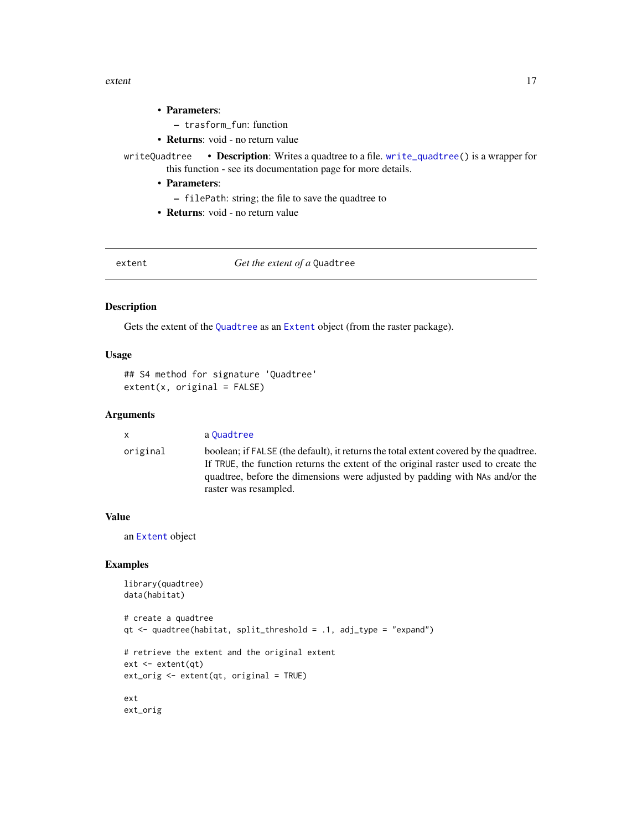#### <span id="page-16-0"></span>extent 17

#### • Parameters:

- trasform\_fun: function
- Returns: void no return value
- writeQuadtree Description: Writes a quadtree to a file. [write\\_quadtree\(](#page-37-2)) is a wrapper for this function - see its documentation page for more details.
	- Parameters:
		- filePath: string; the file to save the quadtree to
	- Returns: void no return value

<span id="page-16-1"></span>extent **Get the extent of a Quadtree** 

#### Description

Gets the extent of the [Quadtree](#page-35-1) as an [Extent](#page-0-0) object (from the raster package).

## Usage

```
## S4 method for signature 'Quadtree'
extent(x, original = FALSE)
```
#### Arguments

x a [Quadtree](#page-35-1)

original boolean; if FALSE (the default), it returns the total extent covered by the quadtree. If TRUE, the function returns the extent of the original raster used to create the quadtree, before the dimensions were adjusted by padding with NAs and/or the raster was resampled.

#### Value

an [Extent](#page-0-0) object

```
library(quadtree)
data(habitat)
# create a quadtree
qt <- quadtree(habitat, split_threshold = .1, adj_type = "expand")
# retrieve the extent and the original extent
ext <- extent(qt)
ext_orig <- extent(qt, original = TRUE)
ext
ext_orig
```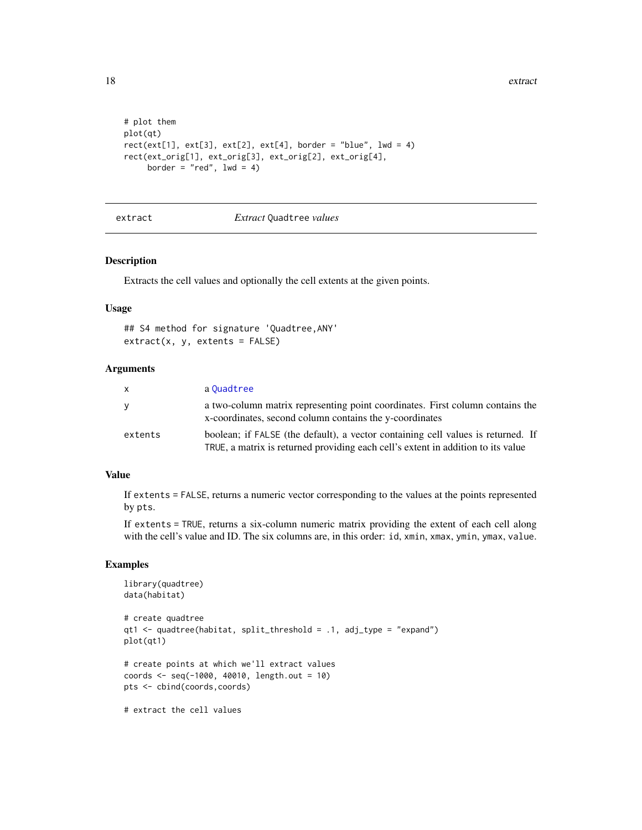```
# plot them
plot(qt)
rect(ext[1], ext[3], ext[2], ext[4], border = "blue", lwd = 4)rect(ext_orig[1], ext_orig[3], ext_orig[2], ext_orig[4],
     border = "red", 1wd = 4)
```
#### extract *Extract* Quadtree *values*

#### Description

Extracts the cell values and optionally the cell extents at the given points.

#### Usage

```
## S4 method for signature 'Quadtree,ANY'
extract(x, y, extents = FALSE)
```
## Arguments

| X       | a Quadtree                                                                                                                                                           |
|---------|----------------------------------------------------------------------------------------------------------------------------------------------------------------------|
| y       | a two-column matrix representing point coordinates. First column contains the<br>x-coordinates, second column contains the y-coordinates                             |
| extents | boolean; if FALSE (the default), a vector containing cell values is returned. If<br>TRUE, a matrix is returned providing each cell's extent in addition to its value |

## Value

If extents = FALSE, returns a numeric vector corresponding to the values at the points represented by pts.

If extents = TRUE, returns a six-column numeric matrix providing the extent of each cell along with the cell's value and ID. The six columns are, in this order: id, xmin, xmax, ymin, ymax, value.

```
library(quadtree)
data(habitat)
# create quadtree
qt1 <- quadtree(habitat, split_threshold = .1, adj_type = "expand")
plot(qt1)
# create points at which we'll extract values
coords <- seq(-1000, 40010, length.out = 10)
pts <- cbind(coords,coords)
# extract the cell values
```
<span id="page-17-0"></span>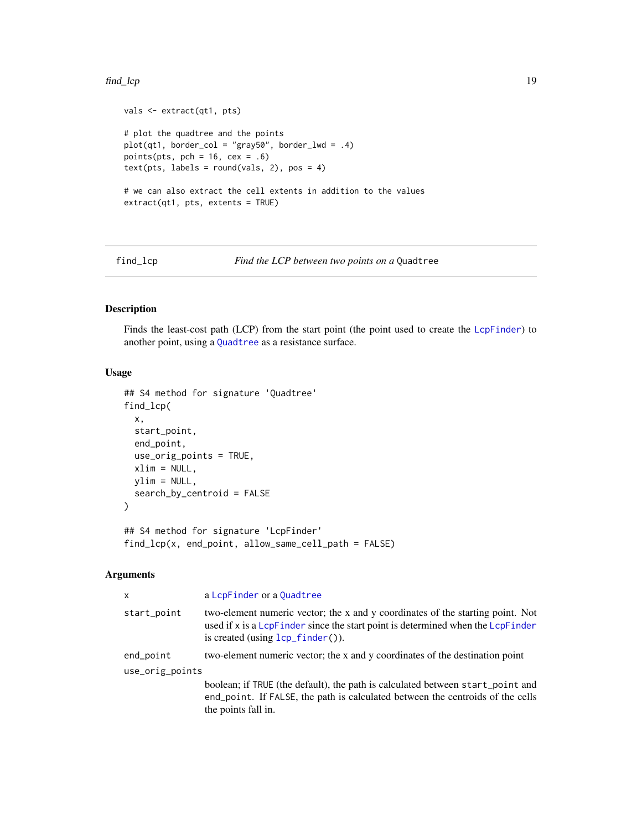#### <span id="page-18-0"></span>find\_lcp 19

```
vals <- extract(qt1, pts)
# plot the quadtree and the points
plot(qt1, border\_col = "gray50", border\_lwd = .4)points(pts, pch = 16, cex = .6)
text(pts, labels = round(vals, 2), pos = 4)# we can also extract the cell extents in addition to the values
extract(qt1, pts, extents = TRUE)
```
<span id="page-18-1"></span>find\_lcp *Find the LCP between two points on a* Quadtree

#### Description

Finds the least-cost path (LCP) from the start point (the point used to create the [LcpFinder](#page-24-1)) to another point, using a [Quadtree](#page-35-1) as a resistance surface.

#### Usage

```
## S4 method for signature 'Quadtree'
find_lcp(
  x,
  start_point,
  end_point,
 use_orig_points = TRUE,
 xlim = NULL,ylim = NULL,
  search_by_centroid = FALSE
\lambda
```
## S4 method for signature 'LcpFinder' find\_lcp(x, end\_point, allow\_same\_cell\_path = FALSE)

#### Arguments

| $\mathsf{x}$    | a LcpFinder or a Quadtree                                                                                                                                                                               |  |
|-----------------|---------------------------------------------------------------------------------------------------------------------------------------------------------------------------------------------------------|--|
| start_point     | two-element numeric vector; the x and y coordinates of the starting point. Not<br>used if x is a LcpF inder since the start point is determined when the LcpF inder<br>is created (using lcp_finder()). |  |
| end_point       | two-element numeric vector; the x and y coordinates of the destination point                                                                                                                            |  |
| use_orig_points |                                                                                                                                                                                                         |  |
|                 | boolean; if TRUE (the default), the path is calculated between start_point and<br>end_point. If FALSE, the path is calculated between the centroids of the cells<br>the points fall in.                 |  |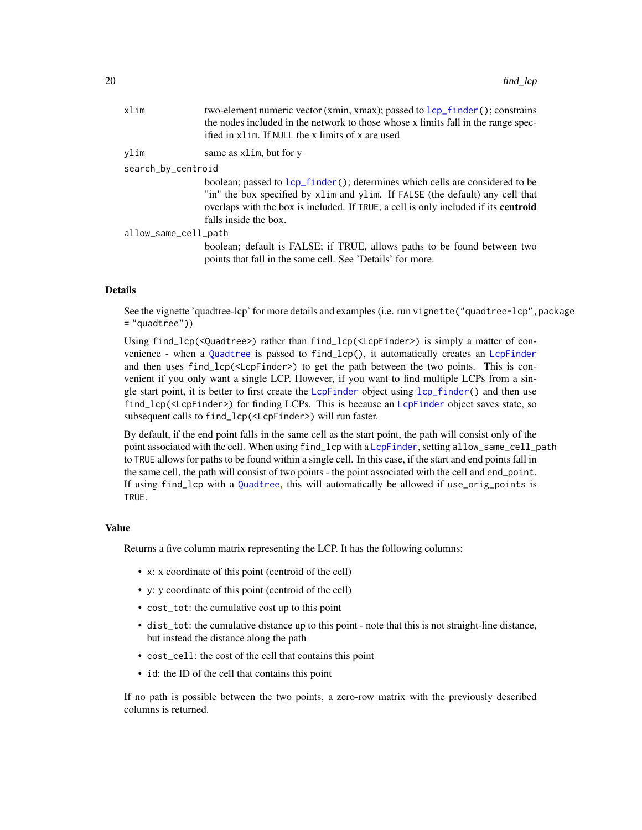<span id="page-19-0"></span>

| xlim                 | two-element numeric vector (xmin, xmax); passed to lcp_f inder (); constrains<br>the nodes included in the network to those whose x limits fall in the range spec-<br>ified in x l im. If NULL the x limits of x are used                                                            |  |
|----------------------|--------------------------------------------------------------------------------------------------------------------------------------------------------------------------------------------------------------------------------------------------------------------------------------|--|
| ylim                 | same as xlim, but for y                                                                                                                                                                                                                                                              |  |
| search_by_centroid   |                                                                                                                                                                                                                                                                                      |  |
|                      | boolean; passed to lcp_finder(); determines which cells are considered to be<br>"in" the box specified by xlim and ylim. If FALSE (the default) any cell that<br>overlaps with the box is included. If TRUE, a cell is only included if its <b>centroid</b><br>falls inside the box. |  |
| allow_same_cell_path |                                                                                                                                                                                                                                                                                      |  |
|                      | boolean; default is FALSE; if TRUE, allows paths to be found between two<br>points that fall in the same cell. See 'Details' for more.                                                                                                                                               |  |

#### Details

See the vignette 'quadtree-lcp' for more details and examples (i.e. run vignette("quadtree-lcp", package = "quadtree"))

Using find\_lcp(<Quadtree>) rather than find\_lcp(<LcpFinder>) is simply a matter of convenience - when a [Quadtree](#page-35-1) is passed to find\_lcp(), it automatically creates an [LcpFinder](#page-24-1) and then uses find\_lcp(<LcpFinder>) to get the path between the two points. This is convenient if you only want a single LCP. However, if you want to find multiple LCPs from a sin-gle start point, it is better to first create the [LcpFinder](#page-24-1) object using [lcp\\_finder\(](#page-24-2)) and then use find\_lcp(<LcpFinder>) for finding LCPs. This is because an [LcpFinder](#page-24-1) object saves state, so subsequent calls to find\_lcp(<LcpFinder>) will run faster.

By default, if the end point falls in the same cell as the start point, the path will consist only of the point associated with the cell. When using find\_lcp with a [LcpFinder](#page-24-1), setting allow\_same\_cell\_path to TRUE allows for paths to be found within a single cell. In this case, if the start and end points fall in the same cell, the path will consist of two points - the point associated with the cell and end\_point. If using find\_lcp with a [Quadtree](#page-35-1), this will automatically be allowed if use\_orig\_points is TRUE.

#### Value

Returns a five column matrix representing the LCP. It has the following columns:

- x: x coordinate of this point (centroid of the cell)
- y: y coordinate of this point (centroid of the cell)
- cost\_tot: the cumulative cost up to this point
- dist\_tot: the cumulative distance up to this point note that this is not straight-line distance, but instead the distance along the path
- cost\_cell: the cost of the cell that contains this point
- id: the ID of the cell that contains this point

If no path is possible between the two points, a zero-row matrix with the previously described columns is returned.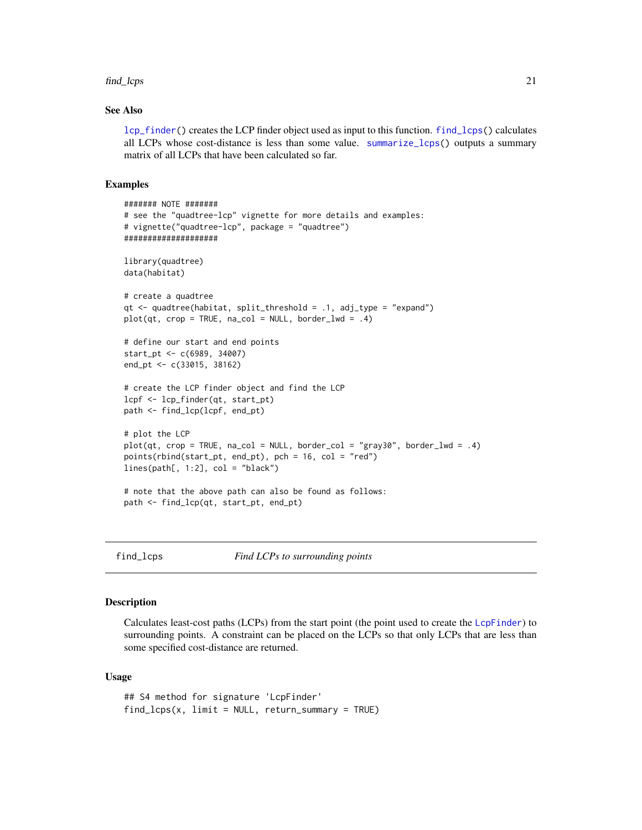#### <span id="page-20-0"></span>find\_lcps 21

## See Also

[lcp\\_finder\(](#page-24-2)) creates the LCP finder object used as input to this function. [find\\_lcps\(](#page-20-1)) calculates all LCPs whose cost-distance is less than some value. [summarize\\_lcps\(](#page-39-1)) outputs a summary matrix of all LCPs that have been calculated so far.

#### Examples

```
####### NOTE #######
# see the "quadtree-lcp" vignette for more details and examples:
# vignette("quadtree-lcp", package = "quadtree")
####################
library(quadtree)
data(habitat)
# create a quadtree
qt \leq quadtree(habitat, split_threshold = .1, adj_type = "expand")
plot(qt, crop = TRUE, na_col = NULL, border_lwd = .4)# define our start and end points
start_pt <- c(6989, 34007)
end_pt <- c(33015, 38162)
# create the LCP finder object and find the LCP
lcpf <- lcp_finder(qt, start_pt)
path <- find_lcp(lcpf, end_pt)
# plot the LCP
plot(qt, crop = TRUE, na_col = NULL, border_col = "gray30", border_lwd = .4)points(rbind(start_pt, end_pt), pch = 16, col = "red")
lines(path[, 1:2], col = "black")# note that the above path can also be found as follows:
path <- find_lcp(qt, start_pt, end_pt)
```
<span id="page-20-1"></span>find\_lcps *Find LCPs to surrounding points*

#### Description

Calculates least-cost paths (LCPs) from the start point (the point used to create the [LcpFinder](#page-24-1)) to surrounding points. A constraint can be placed on the LCPs so that only LCPs that are less than some specified cost-distance are returned.

```
## S4 method for signature 'LcpFinder'
find\_lcps(x, limit = NULL, return\_summary = TRUE)
```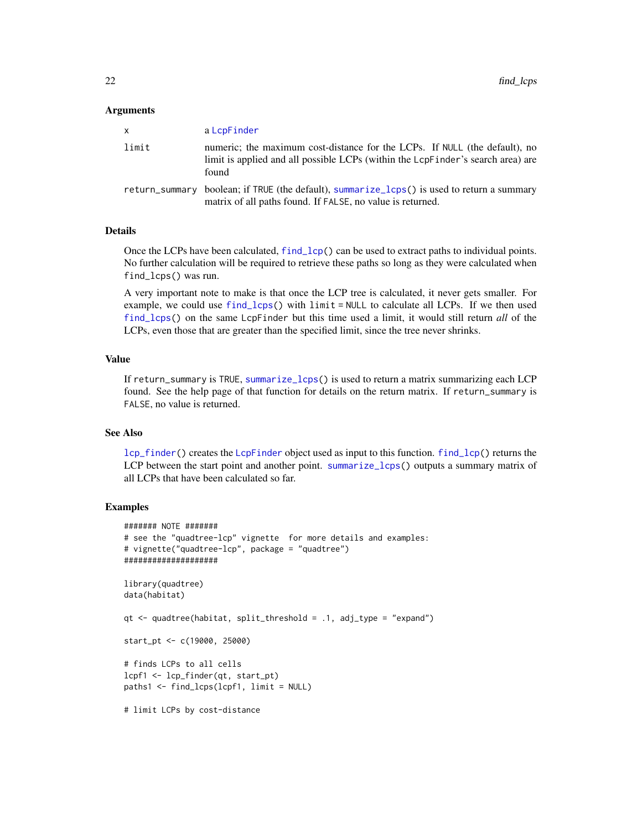#### <span id="page-21-0"></span>**Arguments**

| x.    | a LcpFinder                                                                                                                                                             |
|-------|-------------------------------------------------------------------------------------------------------------------------------------------------------------------------|
| limit | numeric; the maximum cost-distance for the LCPs. If NULL (the default), no<br>limit is applied and all possible LCPs (within the LcpF inder's search area) are<br>found |
|       | return_summary boolean; if TRUE (the default), summarize_lcps() is used to return a summary<br>matrix of all paths found. If FALSE, no value is returned.               |

## **Details**

Once the LCPs have been calculated,  $find\_lcp()$  can be used to extract paths to individual points. No further calculation will be required to retrieve these paths so long as they were calculated when find\_lcps() was run.

A very important note to make is that once the LCP tree is calculated, it never gets smaller. For example, we could use [find\\_lcps\(](#page-20-1)) with limit = NULL to calculate all LCPs. If we then used [find\\_lcps\(](#page-20-1)) on the same LcpFinder but this time used a limit, it would still return *all* of the LCPs, even those that are greater than the specified limit, since the tree never shrinks.

## Value

If return\_summary is TRUE, [summarize\\_lcps\(](#page-39-1)) is used to return a matrix summarizing each LCP found. See the help page of that function for details on the return matrix. If return\_summary is FALSE, no value is returned.

## See Also

[lcp\\_finder\(](#page-24-2)) creates the [LcpFinder](#page-24-1) object used as input to this function. [find\\_lcp\(](#page-18-1)) returns the LCP between the start point and another point. [summarize\\_lcps\(](#page-39-1)) outputs a summary matrix of all LCPs that have been calculated so far.

```
####### NOTE #######
# see the "quadtree-lcp" vignette for more details and examples:
# vignette("quadtree-lcp", package = "quadtree")
####################
library(quadtree)
data(habitat)
qt <- quadtree(habitat, split_threshold = .1, adj_type = "expand")
start_pt <- c(19000, 25000)
# finds LCPs to all cells
lcpf1 <- lcp_finder(qt, start_pt)
paths1 <- find_lcps(lcpf1, limit = NULL)
# limit LCPs by cost-distance
```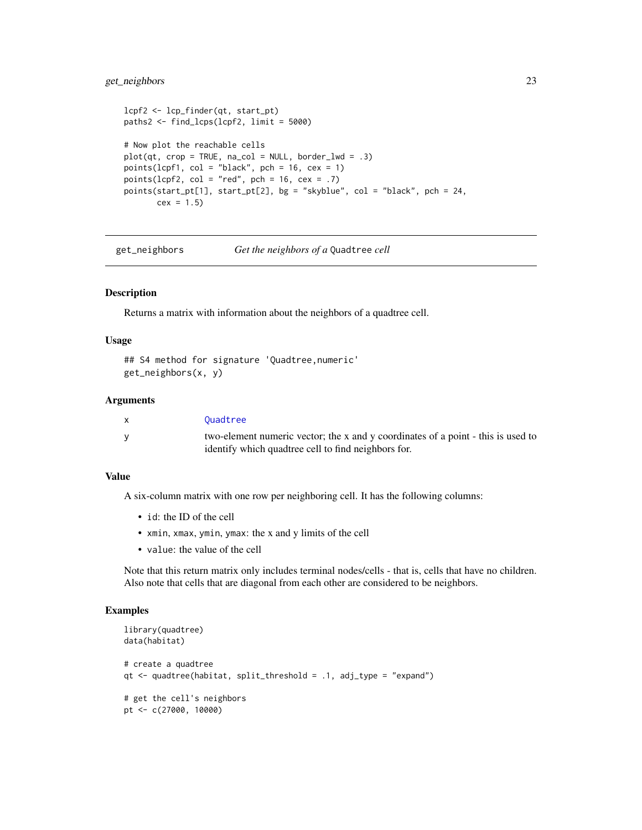## <span id="page-22-0"></span>get\_neighbors 23

```
lcpf2 <- lcp_finder(qt, start_pt)
paths2 <- find_lcps(lcpf2, limit = 5000)
# Now plot the reachable cells
plot(qt, crop = TRUE, na_col = NULL, border_lwd = .3)points(lcpf1, col = "black", pch = 16, cex = 1)
points(lcpf2, col = "red", pch = 16, cex = .7)
points(start_pt[1], start_pt[2], bg = "skyblue", col = "black", pch = 24,
      cex = 1.5
```
<span id="page-22-1"></span>get\_neighbors *Get the neighbors of a* Quadtree *cell*

## Description

Returns a matrix with information about the neighbors of a quadtree cell.

#### Usage

```
## S4 method for signature 'Quadtree,numeric'
get_neighbors(x, y)
```
#### Arguments

| Ouadtree                                                                         |
|----------------------------------------------------------------------------------|
| two-element numeric vector; the x and y coordinates of a point - this is used to |
| identify which quadtree cell to find neighbors for.                              |

#### Value

A six-column matrix with one row per neighboring cell. It has the following columns:

- id: the ID of the cell
- xmin, xmax, ymin, ymax: the x and y limits of the cell
- value: the value of the cell

Note that this return matrix only includes terminal nodes/cells - that is, cells that have no children. Also note that cells that are diagonal from each other are considered to be neighbors.

```
library(quadtree)
data(habitat)
# create a quadtree
qt <- quadtree(habitat, split_threshold = .1, adj_type = "expand")
# get the cell's neighbors
pt <- c(27000, 10000)
```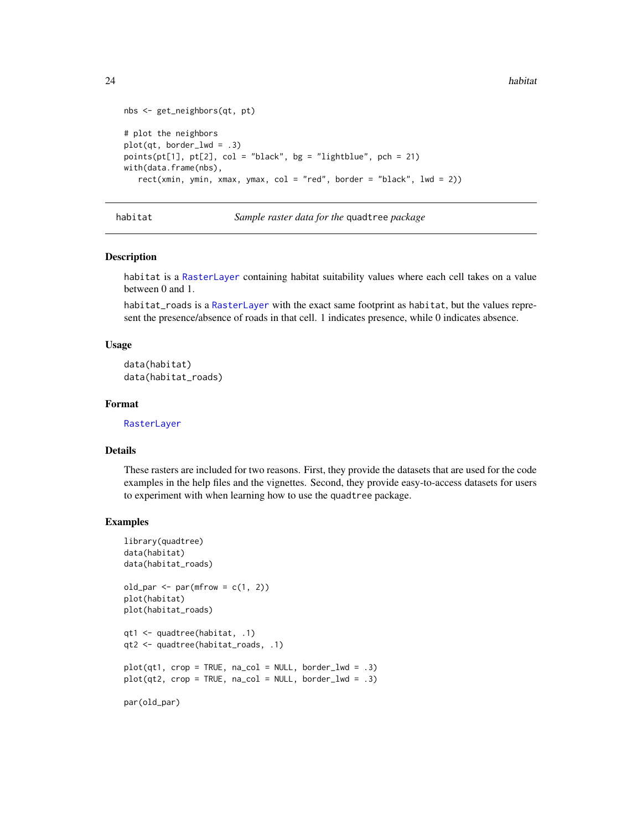```
nbs <- get_neighbors(qt, pt)
# plot the neighbors
plot(qt, border_lwd = .3)points(pt[1], pt[2], col = "black", bg = "lightblue", pch = 21)with(data.frame(nbs),
  rect(xmin, ymin, xmax, ymax, col = "red", border = "black", lwd = 2))
```
habitat *Sample raster data for the* quadtree *package*

#### Description

habitat is a [RasterLayer](#page-0-0) containing habitat suitability values where each cell takes on a value between 0 and 1.

habitat\_roads is a [RasterLayer](#page-0-0) with the exact same footprint as habitat, but the values represent the presence/absence of roads in that cell. 1 indicates presence, while 0 indicates absence.

#### Usage

```
data(habitat)
data(habitat_roads)
```
#### Format

[RasterLayer](#page-0-0)

## Details

These rasters are included for two reasons. First, they provide the datasets that are used for the code examples in the help files and the vignettes. Second, they provide easy-to-access datasets for users to experiment with when learning how to use the quadtree package.

```
library(quadtree)
data(habitat)
data(habitat_roads)
old\_par \leftarrow par(mfrom = c(1, 2))plot(habitat)
plot(habitat_roads)
qt1 <- quadtree(habitat, .1)
qt2 <- quadtree(habitat_roads, .1)
plot(qt1, crop = TRUE, na_col = NULL, border_lwd = .3)plot(qt2, crop = TRUE, na_col = NULL, border_lwd = .3)par(old_par)
```
<span id="page-23-0"></span>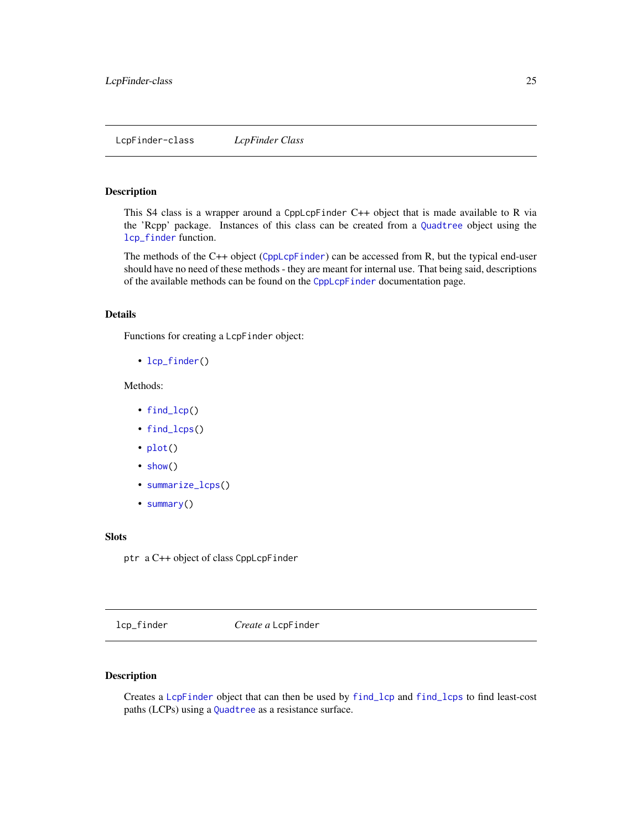## <span id="page-24-1"></span><span id="page-24-0"></span>Description

This S4 class is a wrapper around a CppLcpFinder C++ object that is made available to R via the 'Rcpp' package. Instances of this class can be created from a [Quadtree](#page-35-1) object using the [lcp\\_finder](#page-24-2) function.

The methods of the C++ object ([CppLcpFinder](#page-8-1)) can be accessed from R, but the typical end-user should have no need of these methods - they are meant for internal use. That being said, descriptions of the available methods can be found on the [CppLcpFinder](#page-8-1) documentation page.

#### Details

Functions for creating a LcpFinder object:

• [lcp\\_finder\(](#page-24-2))

## Methods:

- [find\\_lcp\(](#page-18-1))
- [find\\_lcps\(](#page-20-1))
- [plot\(](#page-30-1))
- [show\(](#page-40-1))
- [summarize\\_lcps\(](#page-39-1))
- [summary\(](#page-40-2))

## Slots

ptr a C++ object of class CppLcpFinder

<span id="page-24-2"></span>lcp\_finder *Create a* LcpFinder

## Description

Creates a [LcpFinder](#page-24-1) object that can then be used by [find\\_lcp](#page-18-1) and [find\\_lcps](#page-20-1) to find least-cost paths (LCPs) using a [Quadtree](#page-35-1) as a resistance surface.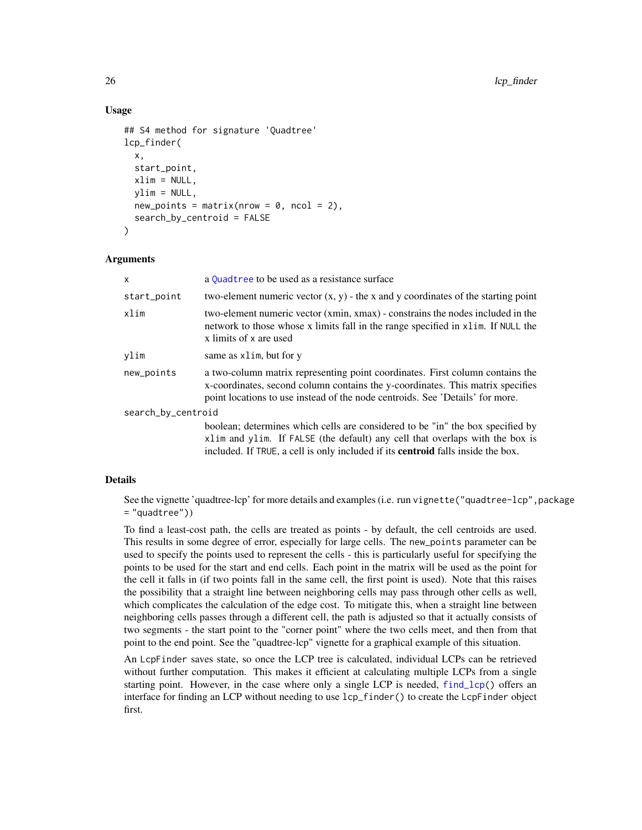## Usage

```
## S4 method for signature 'Quadtree'
lcp_finder(
  x,
  start_point,
 xlim = NULL,ylim = NULL,new\_points = matrix(nrow = 0, ncol = 2),
  search_by_centroid = FALSE
)
```
#### Arguments

| X                  | a Quadtree to be used as a resistance surface                                                                                                                                                                                                             |  |
|--------------------|-----------------------------------------------------------------------------------------------------------------------------------------------------------------------------------------------------------------------------------------------------------|--|
| start_point        | two-element numeric vector $(x, y)$ - the x and y coordinates of the starting point                                                                                                                                                                       |  |
| xlim               | two-element numeric vector (xmin, xmax) - constrains the nodes included in the<br>network to those whose x limits fall in the range specified in x1 im. If NULL the<br>x limits of x are used                                                             |  |
| vlim               | same as xlim, but for y                                                                                                                                                                                                                                   |  |
| new_points         | a two-column matrix representing point coordinates. First column contains the<br>x-coordinates, second column contains the y-coordinates. This matrix specifies<br>point locations to use instead of the node centroids. See 'Details' for more.          |  |
| search_by_centroid |                                                                                                                                                                                                                                                           |  |
|                    | boolean; determines which cells are considered to be "in" the box specified by<br>xlim and ylim. If FALSE (the default) any cell that overlaps with the box is<br>included. If TRUE, a cell is only included if its <b>centroid</b> falls inside the box. |  |

#### Details

See the vignette 'quadtree-lcp' for more details and examples (i.e. run vignette ("quadtree-lcp", package  $=$  "quadtree"))

To find a least-cost path, the cells are treated as points - by default, the cell centroids are used. This results in some degree of error, especially for large cells. The new\_points parameter can be used to specify the points used to represent the cells - this is particularly useful for specifying the points to be used for the start and end cells. Each point in the matrix will be used as the point for the cell it falls in (if two points fall in the same cell, the first point is used). Note that this raises the possibility that a straight line between neighboring cells may pass through other cells as well, which complicates the calculation of the edge cost. To mitigate this, when a straight line between neighboring cells passes through a different cell, the path is adjusted so that it actually consists of two segments - the start point to the "corner point" where the two cells meet, and then from that point to the end point. See the "quadtree-lcp" vignette for a graphical example of this situation.

An LcpFinder saves state, so once the LCP tree is calculated, individual LCPs can be retrieved without further computation. This makes it efficient at calculating multiple LCPs from a single starting point. However, in the case where only a single LCP is needed, [find\\_lcp\(](#page-18-1)) offers an interface for finding an LCP without needing to use lcp\_finder() to create the LcpFinder object first.

<span id="page-25-0"></span>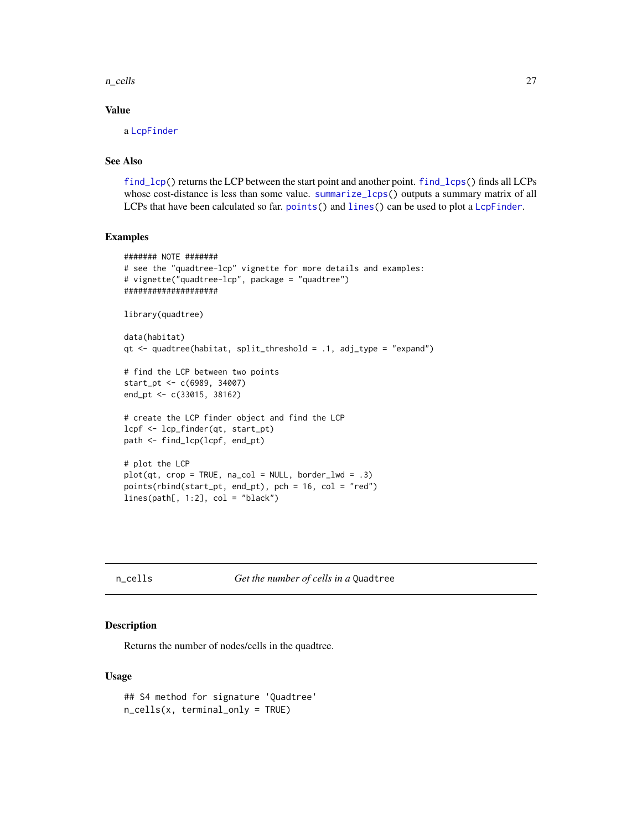<span id="page-26-0"></span>n\_cells 27

## Value

a [LcpFinder](#page-24-1)

## See Also

[find\\_lcp\(](#page-18-1)) returns the LCP between the start point and another point. [find\\_lcps\(](#page-20-1)) finds all LCPs whose cost-distance is less than some value. [summarize\\_lcps\(](#page-39-1)) outputs a summary matrix of all LCPs that have been calculated so far. [points\(](#page-30-1)) and [lines\(](#page-30-1)) can be used to plot a [LcpFinder](#page-24-1).

#### Examples

```
####### NOTE #######
# see the "quadtree-lcp" vignette for more details and examples:
# vignette("quadtree-lcp", package = "quadtree")
####################
library(quadtree)
data(habitat)
qt \leq quadtree(habitat, split_threshold = .1, adj_type = "expand")
# find the LCP between two points
start_pt <- c(6989, 34007)
end_pt <- c(33015, 38162)
# create the LCP finder object and find the LCP
lcpf <- lcp_finder(qt, start_pt)
path <- find_lcp(lcpf, end_pt)
# plot the LCP
plot(qt, crop = TRUE, na_col = NULL, border_lwd = .3)points(rbind(start_pt, end_pt), pch = 16, col = "red")lines(path[, 1:2], col = "black")
```
<span id="page-26-1"></span>n\_cells *Get the number of cells in a* Quadtree

#### Description

Returns the number of nodes/cells in the quadtree.

```
## S4 method for signature 'Quadtree'
n_cells(x, terminal_only = TRUE)
```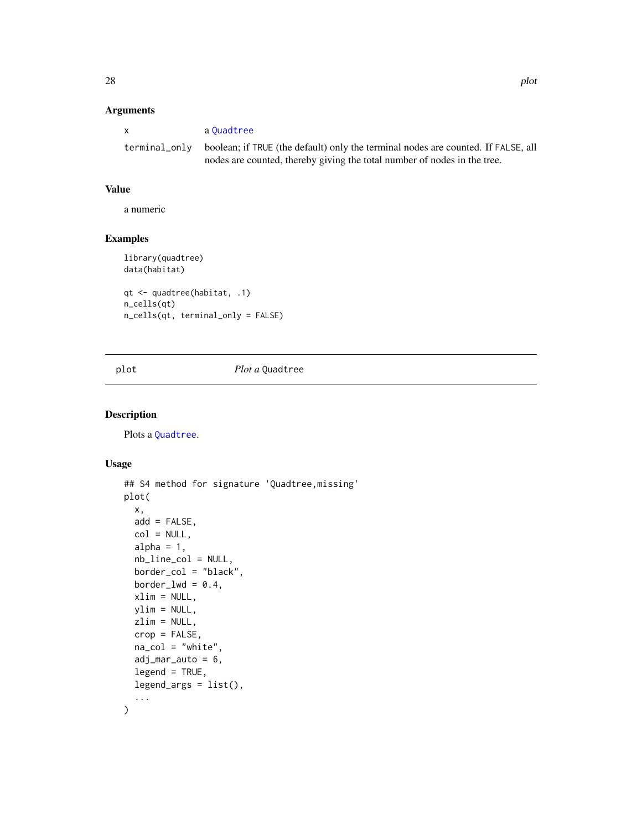## <span id="page-27-0"></span>Arguments

| X             | a Ouadtree                                                                                                                                                    |
|---------------|---------------------------------------------------------------------------------------------------------------------------------------------------------------|
| terminal only | boolean; if TRUE (the default) only the terminal nodes are counted. If FALSE, all<br>nodes are counted, thereby giving the total number of nodes in the tree. |

## Value

a numeric

## Examples

```
library(quadtree)
data(habitat)
qt <- quadtree(habitat, .1)
n_cells(qt)
n_cells(qt, terminal_only = FALSE)
```
## <span id="page-27-2"></span>plot *Plot a* Quadtree

## <span id="page-27-1"></span>Description

Plots a [Quadtree](#page-35-1).

```
## S4 method for signature 'Quadtree,missing'
plot(
  x,
  add = FALSE,
  col = NULL,alpha = 1,
  nb_line_col = NULL,
 border_col = "black",
 border_lwd = 0.4,xlim = NULL,ylim = NULL,
  zlim = NULL,
  crop = FALSE,
  na_{col} = "white",adj\_mar\_auto = 6,legend = TRUE,
  legend_args = list(),
  ...
\mathcal{E}
```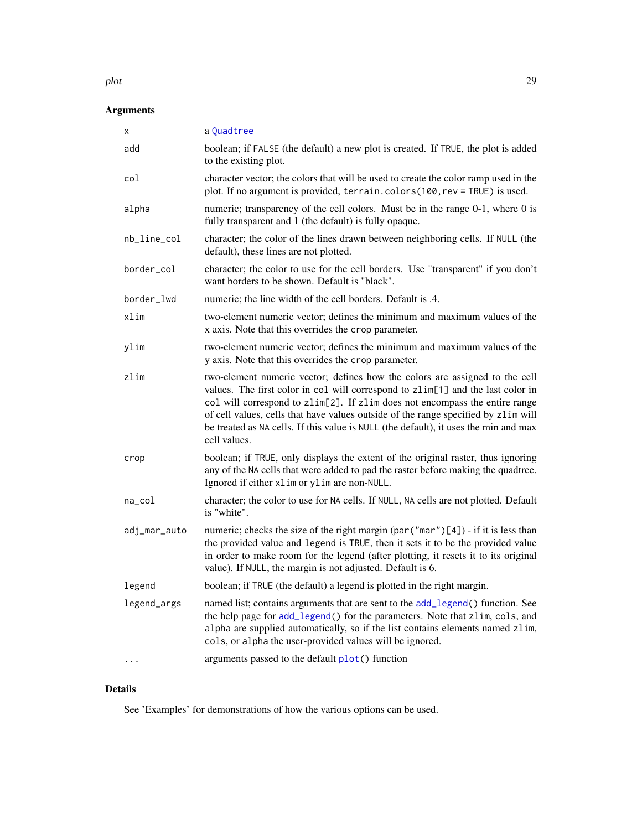#### <span id="page-28-0"></span>plot the contract of the contract of the contract of the contract of the contract of the contract of the contract of the contract of the contract of the contract of the contract of the contract of the contract of the contr

## Arguments

| X            | a Quadtree                                                                                                                                                                                                                                                                                                                                                                                                                                  |
|--------------|---------------------------------------------------------------------------------------------------------------------------------------------------------------------------------------------------------------------------------------------------------------------------------------------------------------------------------------------------------------------------------------------------------------------------------------------|
| add          | boolean; if FALSE (the default) a new plot is created. If TRUE, the plot is added<br>to the existing plot.                                                                                                                                                                                                                                                                                                                                  |
| col          | character vector; the colors that will be used to create the color ramp used in the<br>plot. If no argument is provided, terrain.colors(100, rev = TRUE) is used.                                                                                                                                                                                                                                                                           |
| alpha        | numeric; transparency of the cell colors. Must be in the range 0-1, where 0 is<br>fully transparent and 1 (the default) is fully opaque.                                                                                                                                                                                                                                                                                                    |
| nb_line_col  | character; the color of the lines drawn between neighboring cells. If NULL (the<br>default), these lines are not plotted.                                                                                                                                                                                                                                                                                                                   |
| border_col   | character; the color to use for the cell borders. Use "transparent" if you don't<br>want borders to be shown. Default is "black".                                                                                                                                                                                                                                                                                                           |
| border_lwd   | numeric; the line width of the cell borders. Default is .4.                                                                                                                                                                                                                                                                                                                                                                                 |
| xlim         | two-element numeric vector; defines the minimum and maximum values of the<br>x axis. Note that this overrides the crop parameter.                                                                                                                                                                                                                                                                                                           |
| ylim         | two-element numeric vector; defines the minimum and maximum values of the<br>y axis. Note that this overrides the crop parameter.                                                                                                                                                                                                                                                                                                           |
| zlim         | two-element numeric vector; defines how the colors are assigned to the cell<br>values. The first color in col will correspond to zlim[1] and the last color in<br>col will correspond to zlim[2]. If zlim does not encompass the entire range<br>of cell values, cells that have values outside of the range specified by zlim will<br>be treated as NA cells. If this value is NULL (the default), it uses the min and max<br>cell values. |
| crop         | boolean; if TRUE, only displays the extent of the original raster, thus ignoring<br>any of the NA cells that were added to pad the raster before making the quadtree.<br>Ignored if either xlim or ylim are non-NULL.                                                                                                                                                                                                                       |
| na_col       | character; the color to use for NA cells. If NULL, NA cells are not plotted. Default<br>is "white".                                                                                                                                                                                                                                                                                                                                         |
| adj_mar_auto | numeric; checks the size of the right margin (par ("mar")[4]) - if it is less than<br>the provided value and legend is TRUE, then it sets it to be the provided value<br>in order to make room for the legend (after plotting, it resets it to its original<br>value). If NULL, the margin is not adjusted. Default is 6.                                                                                                                   |
| legend       | boolean; if TRUE (the default) a legend is plotted in the right margin.                                                                                                                                                                                                                                                                                                                                                                     |
| legend_args  | named list; contains arguments that are sent to the add_legend() function. See<br>the help page for add_legend() for the parameters. Note that zlim, cols, and<br>alpha are supplied automatically, so if the list contains elements named zlim,<br>cols, or alpha the user-provided values will be ignored.                                                                                                                                |
| $\cdots$     | arguments passed to the default plot() function                                                                                                                                                                                                                                                                                                                                                                                             |

## Details

See 'Examples' for demonstrations of how the various options can be used.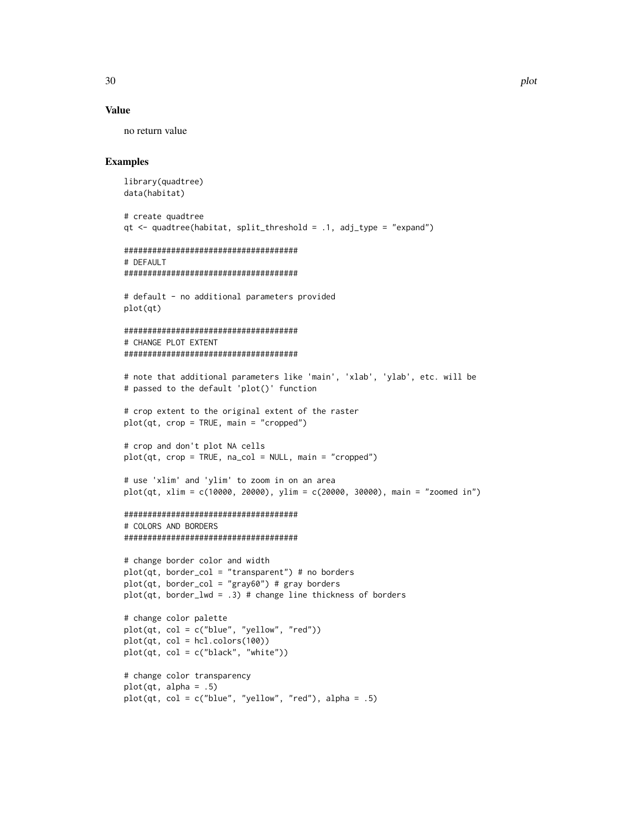#### Value

no return value

## Examples

```
library(quadtree)
data(habitat)
# create quadtree
qt <- quadtree(habitat, split_threshold = .1, adj_type = "expand")
#####################################
# DEFAULT
#####################################
# default - no additional parameters provided
plot(qt)
#####################################
# CHANGE PLOT EXTENT
#####################################
# note that additional parameters like 'main', 'xlab', 'ylab', etc. will be
# passed to the default 'plot()' function
# crop extent to the original extent of the raster
plot(qt, crop = TRUE, main = "crapped")# crop and don't plot NA cells
plot(qt, crop = TRUE, na_col = NULL, main = "cropped")
# use 'xlim' and 'ylim' to zoom in on an area
plot(qt, xlim = c(10000, 20000), ylim = c(20000, 30000), main = "zoomed in")
#####################################
# COLORS AND BORDERS
#####################################
# change border color and width
plot(qt, border\_col = "transparent") # no borders
plot(qt, border\_col = "gray60") # gray borders
plot(qt, border_lwd = .3) # change line thickness of borders
# change color palette
plot(qt, col = c("blue", "yellow", "red"))plot(qt, col = hcl.colors(100))
plot(qt, col = c("black", "white"))# change color transparency
plot(qt, alpha = .5)plot(qt, col = c("blue", "yellow", "red"), alpha = .5)
```
30 plot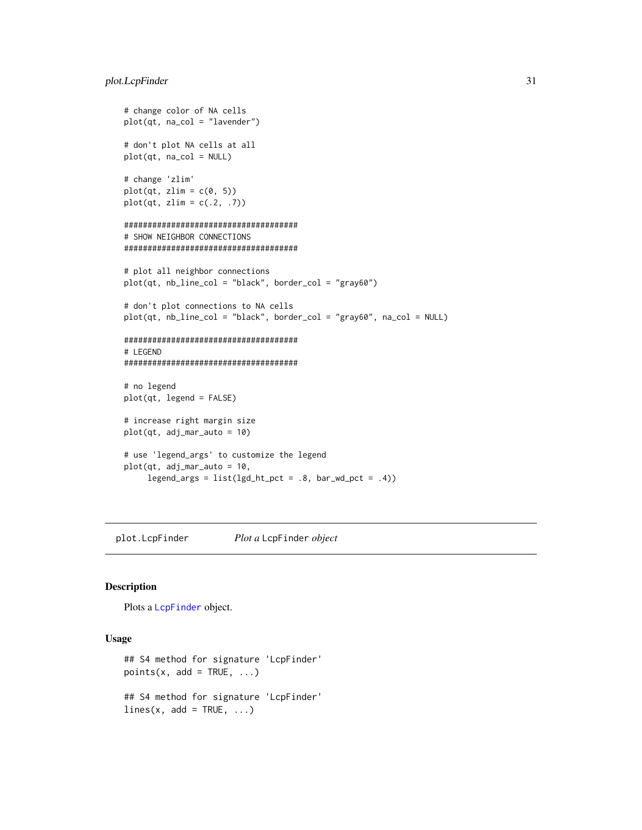```
# change color of NA cells
plot(qt, na_col = "lavender")
# don't plot NA cells at all
plot(qt, na_col = NULL)
# change 'zlim'
plot(qt, zlim = c(0, 5))plot(qt, zlim = c(.2, .7))#####################################
# SHOW NEIGHBOR CONNECTIONS
#####################################
# plot all neighbor connections
plot(qt, nb_line_col = "black", border_col = "gray60")
# don't plot connections to NA cells
plot(qt, nb_line_col = "black", border_col = "gray60", na_col = NULL)
#####################################
# LEGEND
#####################################
# no legend
plot(qt, legend = FALSE)
# increase right margin size
plot(qt, adj_mar_auto = 10)
# use 'legend_args' to customize the legend
plot(qt, adj_mar_auto = 10,
     legend_{args} = list(lgd_{nt\_pot} = .8, bar_{wd_{pt} = .4)
```
<span id="page-30-1"></span>plot.LcpFinder *Plot a* LcpFinder *object*

## Description

Plots a [LcpFinder](#page-24-1) object.

```
## S4 method for signature 'LcpFinder'
points(x, add = TRUE, \ldots)
## S4 method for signature 'LcpFinder'
lines(x, add = TRUE, ...)
```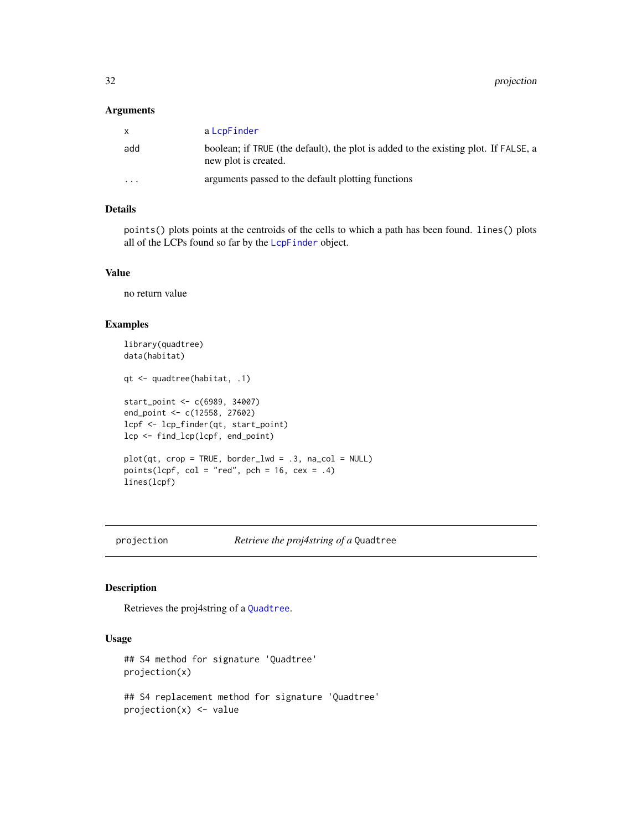#### <span id="page-31-0"></span>Arguments

| $\mathsf{x}$ | a LcpFinder                                                                                                 |
|--------------|-------------------------------------------------------------------------------------------------------------|
| add          | boolean; if TRUE (the default), the plot is added to the existing plot. If FALSE, a<br>new plot is created. |
| $\cdots$     | arguments passed to the default plotting functions                                                          |

## Details

points() plots points at the centroids of the cells to which a path has been found. lines() plots all of the LCPs found so far by the [LcpFinder](#page-24-1) object.

## Value

no return value

## Examples

```
library(quadtree)
data(habitat)
qt <- quadtree(habitat, .1)
start_point <- c(6989, 34007)
end_point <- c(12558, 27602)
lcpf <- lcp_finder(qt, start_point)
lcp <- find_lcp(lcpf, end_point)
plot(qt, crop = TRUE, border_lwd = .3, na_col = NULL)
points(lcpf, col = "red", pch = 16, cex = .4)
lines(lcpf)
```
<span id="page-31-1"></span>projection *Retrieve the proj4string of a* Quadtree

## Description

Retrieves the proj4string of a [Quadtree](#page-35-1).

```
## S4 method for signature 'Quadtree'
projection(x)
```

```
## S4 replacement method for signature 'Quadtree'
projection(x) <- value
```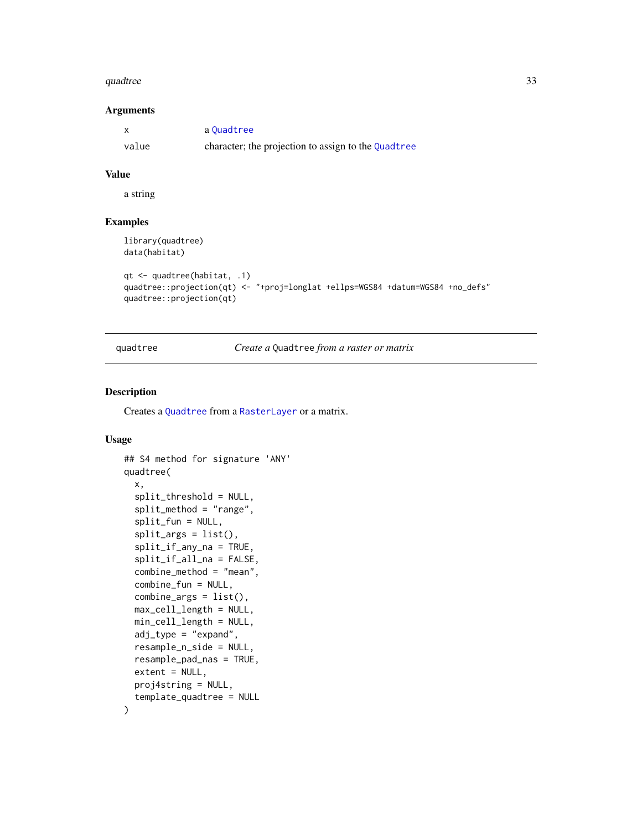#### <span id="page-32-0"></span>quadtree 33

## Arguments

|       | a Ouadtree                                          |
|-------|-----------------------------------------------------|
| value | character; the projection to assign to the Quadtree |

## Value

a string

## Examples

```
library(quadtree)
data(habitat)
```

```
qt <- quadtree(habitat, .1)
quadtree::projection(qt) <- "+proj=longlat +ellps=WGS84 +datum=WGS84 +no_defs"
quadtree::projection(qt)
```
<span id="page-32-1"></span>quadtree *Create a* Quadtree *from a raster or matrix*

## Description

Creates a [Quadtree](#page-35-1) from a [RasterLayer](#page-0-0) or a matrix.

```
## S4 method for signature 'ANY'
quadtree(
 x,
  split_threshold = NULL,
  split_method = "range",
  split_fun = NULL,
  split_{args} = list(),split_if_any_na = TRUE,
  split_if_all_na = FALSE,
  combine_method = "mean",
  combine_fun = NULL,
  combine_args = list(),
 max_cell_length = NULL,
 min_cell_length = NULL,
  adj_{xype} = "expand",
  resample_n_side = NULL,
  resample_pad_nas = TRUE,
  extent = NULL,
 proj4string = NULL,
  template_quadtree = NULL
\mathcal{E}
```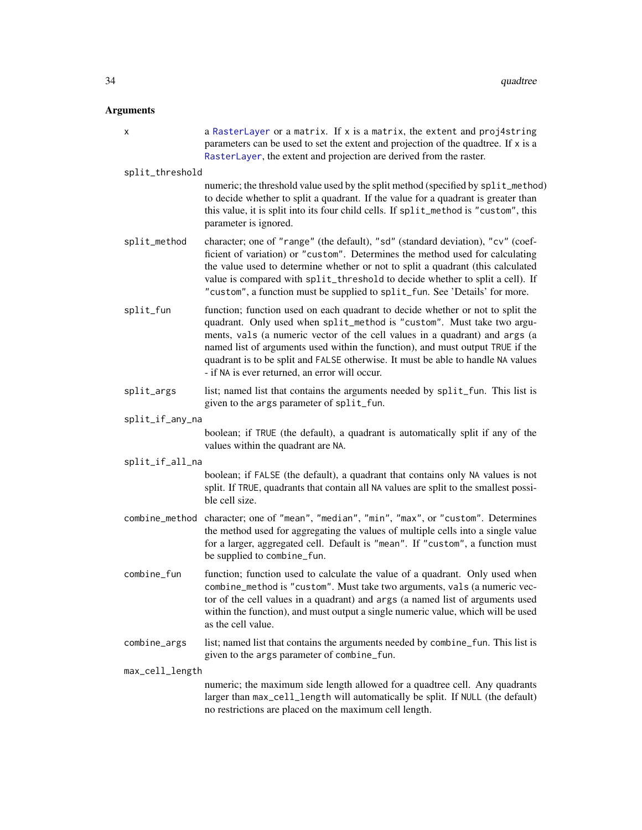#### <span id="page-33-0"></span>Arguments

x a [RasterLayer](#page-0-0) or a matrix. If x is a matrix, the extent and proj4string parameters can be used to set the extent and projection of the quadtree. If x is a [RasterLayer](#page-0-0), the extent and projection are derived from the raster. split\_threshold numeric; the threshold value used by the split method (specified by split\_method) to decide whether to split a quadrant. If the value for a quadrant is greater than this value, it is split into its four child cells. If split\_method is "custom", this parameter is ignored. split\_method character; one of "range" (the default), "sd" (standard deviation), "cv" (coefficient of variation) or "custom". Determines the method used for calculating the value used to determine whether or not to split a quadrant (this calculated value is compared with split\_threshold to decide whether to split a cell). If "custom", a function must be supplied to split\_fun. See 'Details' for more. split\_fun function; function used on each quadrant to decide whether or not to split the quadrant. Only used when split\_method is "custom". Must take two arguments, vals (a numeric vector of the cell values in a quadrant) and args (a named list of arguments used within the function), and must output TRUE if the quadrant is to be split and FALSE otherwise. It must be able to handle NA values - if NA is ever returned, an error will occur. split\_args list; named list that contains the arguments needed by split\_fun. This list is given to the args parameter of split\_fun. split\_if\_any\_na boolean; if TRUE (the default), a quadrant is automatically split if any of the values within the quadrant are NA. split\_if\_all\_na boolean; if FALSE (the default), a quadrant that contains only NA values is not split. If TRUE, quadrants that contain all NA values are split to the smallest possible cell size. combine\_method character; one of "mean", "median", "min", "max", or "custom". Determines the method used for aggregating the values of multiple cells into a single value for a larger, aggregated cell. Default is "mean". If "custom", a function must be supplied to combine\_fun. combine\_fun function; function used to calculate the value of a quadrant. Only used when combine\_method is "custom". Must take two arguments, vals (a numeric vector of the cell values in a quadrant) and args (a named list of arguments used within the function), and must output a single numeric value, which will be used as the cell value. combine\_args list; named list that contains the arguments needed by combine\_fun. This list is given to the args parameter of combine\_fun. max\_cell\_length numeric; the maximum side length allowed for a quadtree cell. Any quadrants

larger than max\_cell\_length will automatically be split. If NULL (the default) no restrictions are placed on the maximum cell length.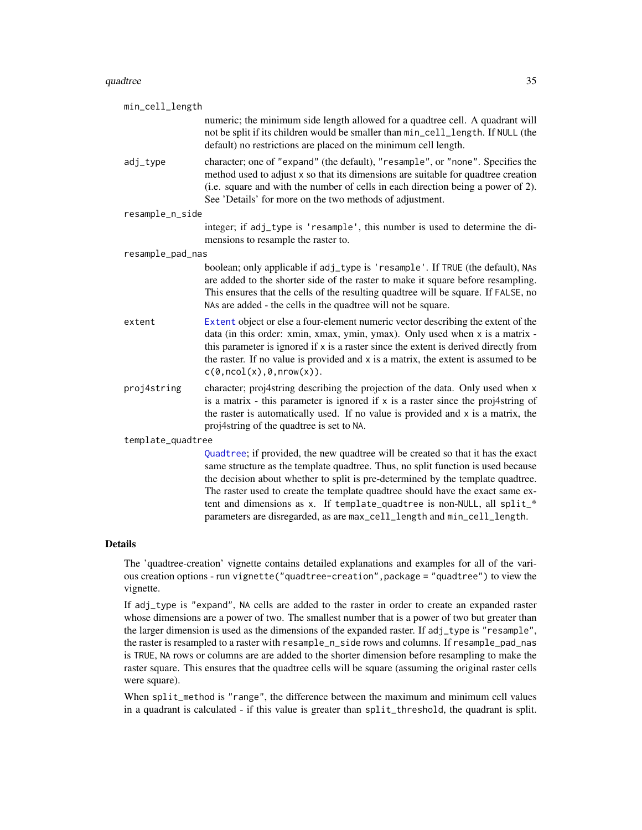<span id="page-34-0"></span>

| min_cell_length   |                                                                                                                                                                                                                                                                                                                                                                                                                      |
|-------------------|----------------------------------------------------------------------------------------------------------------------------------------------------------------------------------------------------------------------------------------------------------------------------------------------------------------------------------------------------------------------------------------------------------------------|
|                   | numeric; the minimum side length allowed for a quadtree cell. A quadrant will<br>not be split if its children would be smaller than min_cell_length. If NULL (the<br>default) no restrictions are placed on the minimum cell length.                                                                                                                                                                                 |
| adj_type          | character; one of "expand" (the default), "resample", or "none". Specifies the<br>method used to adjust x so that its dimensions are suitable for quadtree creation<br>(i.e. square and with the number of cells in each direction being a power of 2).<br>See 'Details' for more on the two methods of adjustment.                                                                                                  |
| resample_n_side   |                                                                                                                                                                                                                                                                                                                                                                                                                      |
|                   | integer; if adj_type is 'resample', this number is used to determine the di-<br>mensions to resample the raster to.                                                                                                                                                                                                                                                                                                  |
| resample_pad_nas  |                                                                                                                                                                                                                                                                                                                                                                                                                      |
|                   | boolean; only applicable if adj_type is 'resample'. If TRUE (the default), NAs<br>are added to the shorter side of the raster to make it square before resampling.<br>This ensures that the cells of the resulting quadtree will be square. If FALSE, no<br>NAs are added - the cells in the quadtree will not be square.                                                                                            |
| extent            | Extent object or else a four-element numeric vector describing the extent of the<br>data (in this order: xmin, xmax, ymin, ymax). Only used when x is a matrix -<br>this parameter is ignored if x is a raster since the extent is derived directly from<br>the raster. If no value is provided and x is a matrix, the extent is assumed to be<br>$c(\emptyset, \text{ncol}(x), \emptyset, \text{nrow}(x)).$         |
| proj4string       | character; proj4string describing the projection of the data. Only used when x<br>is a matrix - this parameter is ignored if $x$ is a raster since the proj4string of<br>the raster is automatically used. If no value is provided and x is a matrix, the<br>proj4string of the quadtree is set to NA.                                                                                                               |
| template_quadtree |                                                                                                                                                                                                                                                                                                                                                                                                                      |
|                   | Quadtree; if provided, the new quadtree will be created so that it has the exact<br>same structure as the template quadtree. Thus, no split function is used because<br>the decision about whether to split is pre-determined by the template quadtree.<br>The raster used to create the template quadtree should have the exact same ex-<br>tent and dimensions as x. If template_quadtree is non-NULL, all split_* |

#### Details

The 'quadtree-creation' vignette contains detailed explanations and examples for all of the various creation options - run vignette("quadtree-creation",package = "quadtree") to view the vignette.

parameters are disregarded, as are max\_cell\_length and min\_cell\_length.

If adj\_type is "expand", NA cells are added to the raster in order to create an expanded raster whose dimensions are a power of two. The smallest number that is a power of two but greater than the larger dimension is used as the dimensions of the expanded raster. If adj\_type is "resample", the raster is resampled to a raster with resample\_n\_side rows and columns. If resample\_pad\_nas is TRUE, NA rows or columns are are added to the shorter dimension before resampling to make the raster square. This ensures that the quadtree cells will be square (assuming the original raster cells were square).

When split\_method is "range", the difference between the maximum and minimum cell values in a quadrant is calculated - if this value is greater than split\_threshold, the quadrant is split.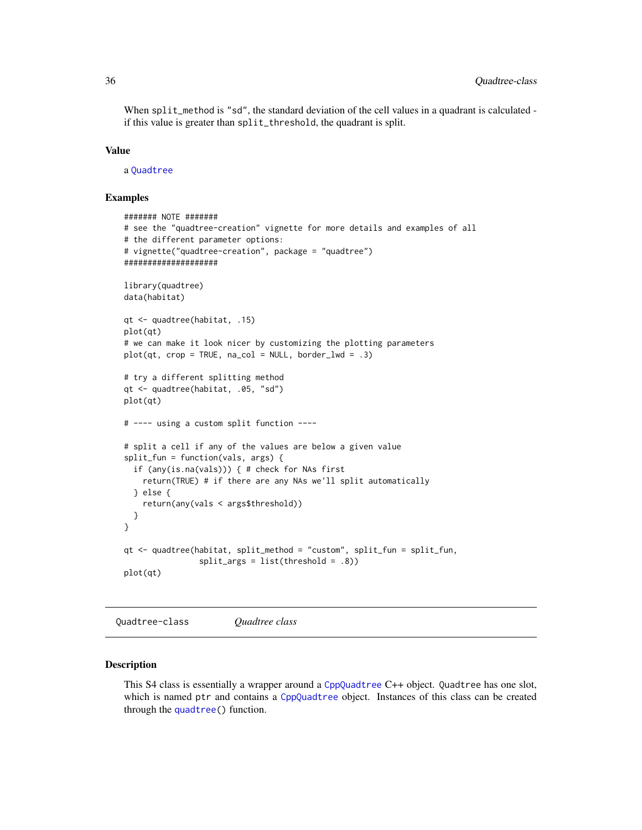<span id="page-35-0"></span>When split\_method is "sd", the standard deviation of the cell values in a quadrant is calculated if this value is greater than split\_threshold, the quadrant is split.

#### Value

a [Quadtree](#page-35-1)

#### Examples

```
####### NOTE #######
# see the "quadtree-creation" vignette for more details and examples of all
# the different parameter options:
# vignette("quadtree-creation", package = "quadtree")
####################
library(quadtree)
data(habitat)
qt <- quadtree(habitat, .15)
plot(qt)
# we can make it look nicer by customizing the plotting parameters
plot(qt, crop = TRUE, na_col = NULL, border_lwd = .3)# try a different splitting method
qt <- quadtree(habitat, .05, "sd")
plot(qt)
# ---- using a custom split function ----
# split a cell if any of the values are below a given value
split_fun = function(vals, args) {
 if (any(is.na(vals))) { # check for NAs first
    return(TRUE) # if there are any NAs we'll split automatically
 } else {
    return(any(vals < args$threshold))
 }
}
qt <- quadtree(habitat, split_method = "custom", split_fun = split_fun,
               split_args = list(threshold = .8))
plot(qt)
```
Quadtree-class *Quadtree class*

#### <span id="page-35-1"></span>Description

This S4 class is essentially a wrapper around a [CppQuadtree](#page-11-1) C++ object. Quadtree has one slot, which is named ptr and contains a [CppQuadtree](#page-11-1) object. Instances of this class can be created through the [quadtree\(](#page-32-1)) function.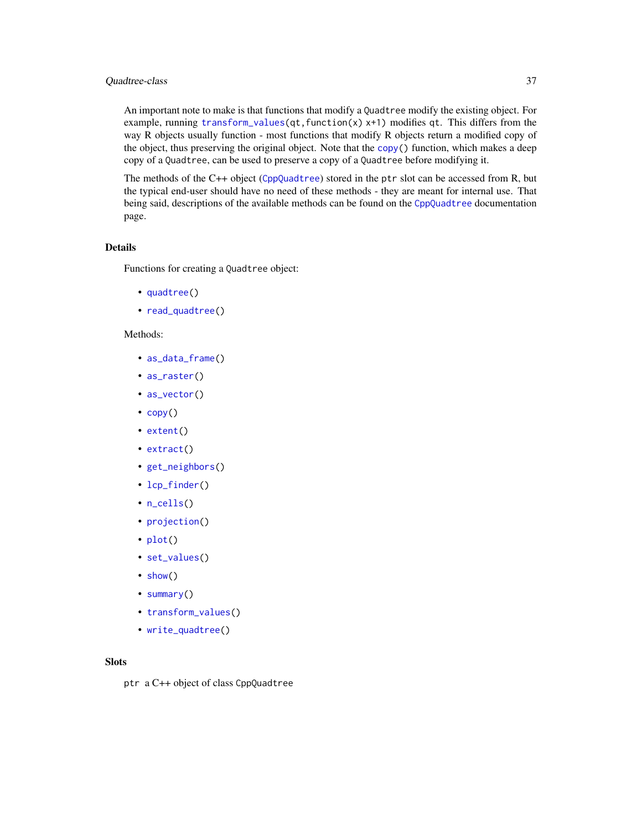## <span id="page-36-0"></span>Quadtree-class 37

An important note to make is that functions that modify a Quadtree modify the existing object. For example, running [transform\\_values\(](#page-42-1) $qt$ , function(x)  $x+1$ ) modifies  $qt$ . This differs from the way R objects usually function - most functions that modify R objects return a modified copy of the object, thus preserving the original object. Note that the [copy\(](#page-7-1)) function, which makes a deep copy of a Quadtree, can be used to preserve a copy of a Quadtree before modifying it.

The methods of the C++ object ([CppQuadtree](#page-11-1)) stored in the ptr slot can be accessed from R, but the typical end-user should have no need of these methods - they are meant for internal use. That being said, descriptions of the available methods can be found on the [CppQuadtree](#page-11-1) documentation page.

## Details

Functions for creating a Quadtree object:

- [quadtree\(](#page-32-1))
- [read\\_quadtree\(](#page-37-1))

#### Methods:

- [as\\_data\\_frame\(](#page-4-1))
- [as\\_raster\(](#page-5-1))
- [as\\_vector\(](#page-6-1))
- [copy\(](#page-7-1))
- [extent\(](#page-16-1))
- [extract\(](#page-17-1))
- [get\\_neighbors\(](#page-22-1))
- [lcp\\_finder\(](#page-24-2))
- [n\\_cells\(](#page-26-1))
- [projection\(](#page-31-1))
- [plot\(](#page-27-1))
- [set\\_values\(](#page-38-1))
- [show\(](#page-41-1))
- [summary\(](#page-41-2))
- [transform\\_values\(](#page-42-1))
- [write\\_quadtree\(](#page-37-2))

## **Slots**

ptr a C++ object of class CppQuadtree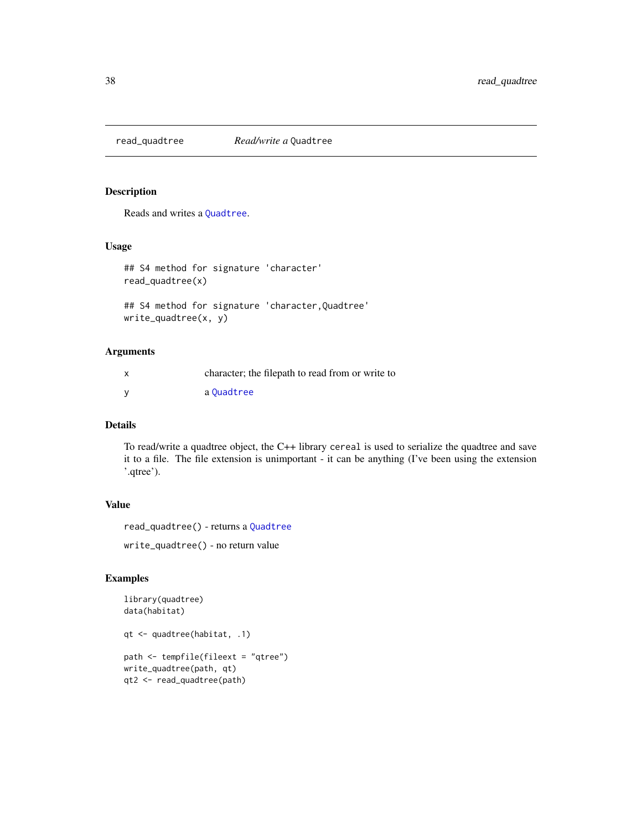<span id="page-37-1"></span><span id="page-37-0"></span>

## <span id="page-37-2"></span>Description

Reads and writes a [Quadtree](#page-35-1).

#### Usage

```
## S4 method for signature 'character'
read_quadtree(x)
```

```
## S4 method for signature 'character,Quadtree'
write_quadtree(x, y)
```
## Arguments

| character; the filepath to read from or write to |
|--------------------------------------------------|
| a Ouadtree                                       |

## Details

To read/write a quadtree object, the C++ library cereal is used to serialize the quadtree and save it to a file. The file extension is unimportant - it can be anything (I've been using the extension '.qtree').

## Value

```
read_quadtree() - returns a Quadtree
```
write\_quadtree() - no return value

```
library(quadtree)
data(habitat)
qt <- quadtree(habitat, .1)
path <- tempfile(fileext = "qtree")
write_quadtree(path, qt)
qt2 <- read_quadtree(path)
```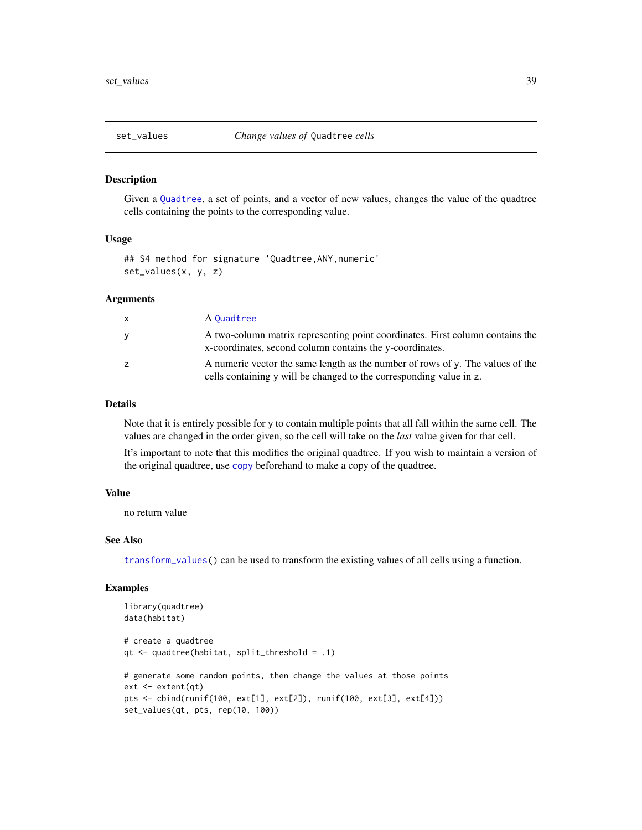<span id="page-38-1"></span><span id="page-38-0"></span>

#### Description

Given a [Quadtree](#page-35-1), a set of points, and a vector of new values, changes the value of the quadtree cells containing the points to the corresponding value.

#### Usage

## S4 method for signature 'Quadtree,ANY,numeric' set\_values(x, y, z)

## Arguments

| $\mathsf{x}$ | A Quadtree                                                                                                                                            |
|--------------|-------------------------------------------------------------------------------------------------------------------------------------------------------|
| y            | A two-column matrix representing point coordinates. First column contains the<br>x-coordinates, second column contains the y-coordinates.             |
| z            | A numeric vector the same length as the number of rows of y. The values of the<br>cells containing y will be changed to the corresponding value in z. |

## Details

Note that it is entirely possible for y to contain multiple points that all fall within the same cell. The values are changed in the order given, so the cell will take on the *last* value given for that cell.

It's important to note that this modifies the original quadtree. If you wish to maintain a version of the original quadtree, use [copy](#page-7-1) beforehand to make a copy of the quadtree.

#### Value

no return value

## See Also

[transform\\_values\(](#page-42-1)) can be used to transform the existing values of all cells using a function.

```
library(quadtree)
data(habitat)
# create a quadtree
qt <- quadtree(habitat, split_threshold = .1)
# generate some random points, then change the values at those points
ext <- extent(qt)
pts <- cbind(runif(100, ext[1], ext[2]), runif(100, ext[3], ext[4]))
set_values(qt, pts, rep(10, 100))
```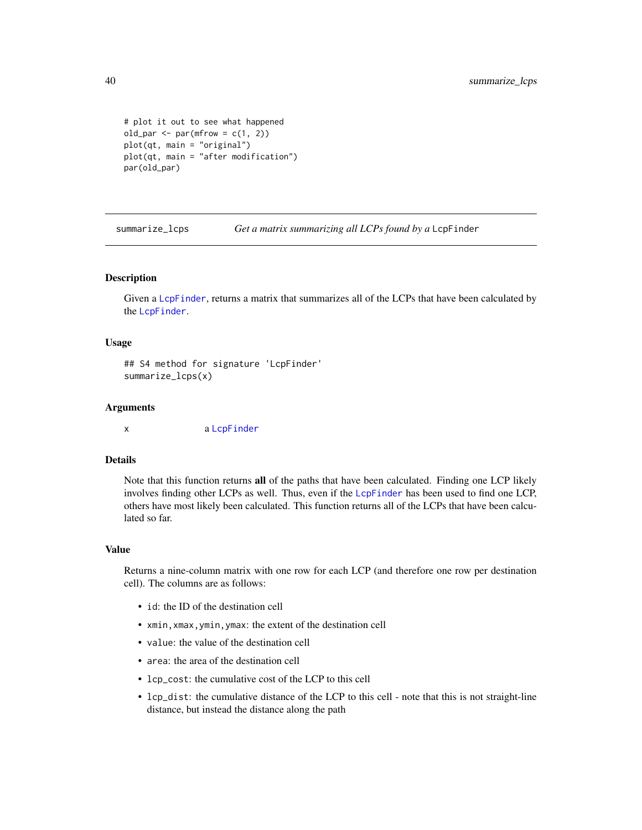```
# plot it out to see what happened
old_par <- par(mfrow = c(1, 2))plot(qt, main = "original")
plot(qt, main = "after modification")
par(old_par)
```
<span id="page-39-1"></span>summarize\_lcps *Get a matrix summarizing all LCPs found by a* LcpFinder

## Description

Given a [LcpFinder](#page-24-1), returns a matrix that summarizes all of the LCPs that have been calculated by the [LcpFinder](#page-24-1).

#### Usage

## S4 method for signature 'LcpFinder' summarize\_lcps(x)

#### Arguments

x a [LcpFinder](#page-24-1)

#### Details

Note that this function returns all of the paths that have been calculated. Finding one LCP likely involves finding other LCPs as well. Thus, even if the [LcpFinder](#page-24-1) has been used to find one LCP, others have most likely been calculated. This function returns all of the LCPs that have been calculated so far.

#### Value

Returns a nine-column matrix with one row for each LCP (and therefore one row per destination cell). The columns are as follows:

- id: the ID of the destination cell
- xmin,xmax,ymin,ymax: the extent of the destination cell
- value: the value of the destination cell
- area: the area of the destination cell
- lcp\_cost: the cumulative cost of the LCP to this cell
- lcp\_dist: the cumulative distance of the LCP to this cell note that this is not straight-line distance, but instead the distance along the path

<span id="page-39-0"></span>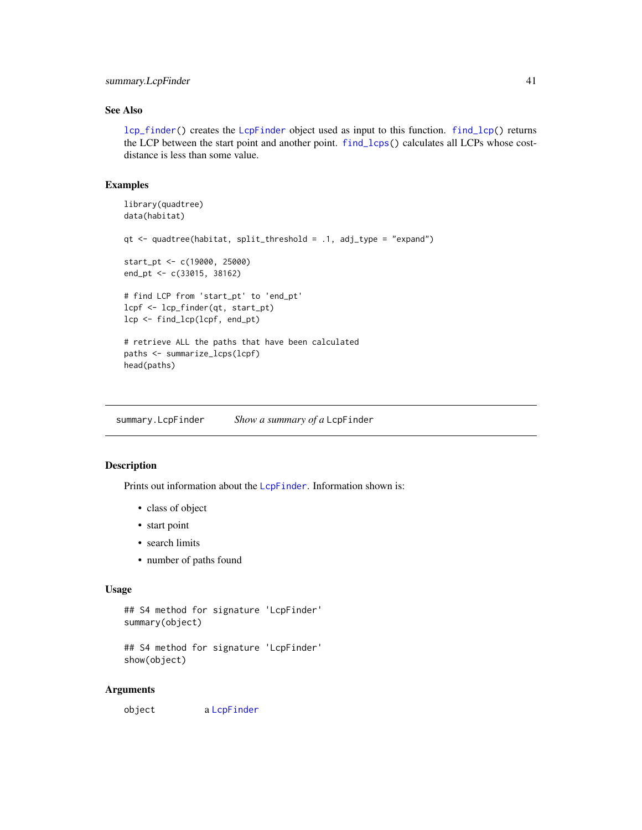## <span id="page-40-0"></span>summary.LcpFinder 41

## See Also

[lcp\\_finder\(](#page-24-2)) creates the [LcpFinder](#page-24-1) object used as input to this function. [find\\_lcp\(](#page-18-1)) returns the LCP between the start point and another point. [find\\_lcps\(](#page-20-1)) calculates all LCPs whose costdistance is less than some value.

## Examples

```
library(quadtree)
data(habitat)
qt <- quadtree(habitat, split_threshold = .1, adj_type = "expand")
start_pt <- c(19000, 25000)
end_pt <- c(33015, 38162)
# find LCP from 'start_pt' to 'end_pt'
lcpf <- lcp_finder(qt, start_pt)
lcp <- find_lcp(lcpf, end_pt)
# retrieve ALL the paths that have been calculated
paths <- summarize_lcps(lcpf)
head(paths)
```
<span id="page-40-2"></span>summary.LcpFinder *Show a summary of a* LcpFinder

## <span id="page-40-1"></span>Description

Prints out information about the [LcpFinder](#page-24-1). Information shown is:

- class of object
- start point
- search limits
- number of paths found

#### Usage

```
## S4 method for signature 'LcpFinder'
summary(object)
```

```
## S4 method for signature 'LcpFinder'
show(object)
```
#### Arguments

object a [LcpFinder](#page-24-1)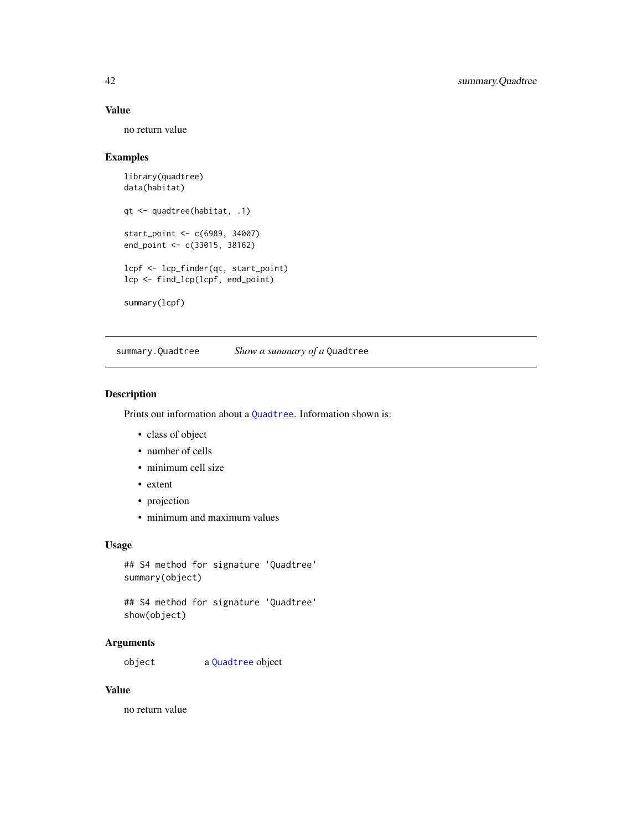## <span id="page-41-0"></span>Value

no return value

## Examples

```
library(quadtree)
data(habitat)
qt <- quadtree(habitat, .1)
start_point <- c(6989, 34007)
end_point <- c(33015, 38162)
lcpf <- lcp_finder(qt, start_point)
lcp <- find_lcp(lcpf, end_point)
summary(lcpf)
```
<span id="page-41-2"></span>summary.Quadtree *Show a summary of a* Quadtree

## <span id="page-41-1"></span>Description

Prints out information about a [Quadtree](#page-35-1). Information shown is:

- class of object
- number of cells
- minimum cell size
- extent
- projection
- minimum and maximum values

## Usage

```
## S4 method for signature 'Quadtree'
summary(object)
```
## S4 method for signature 'Quadtree' show(object)

## Arguments

object a [Quadtree](#page-35-1) object

## Value

no return value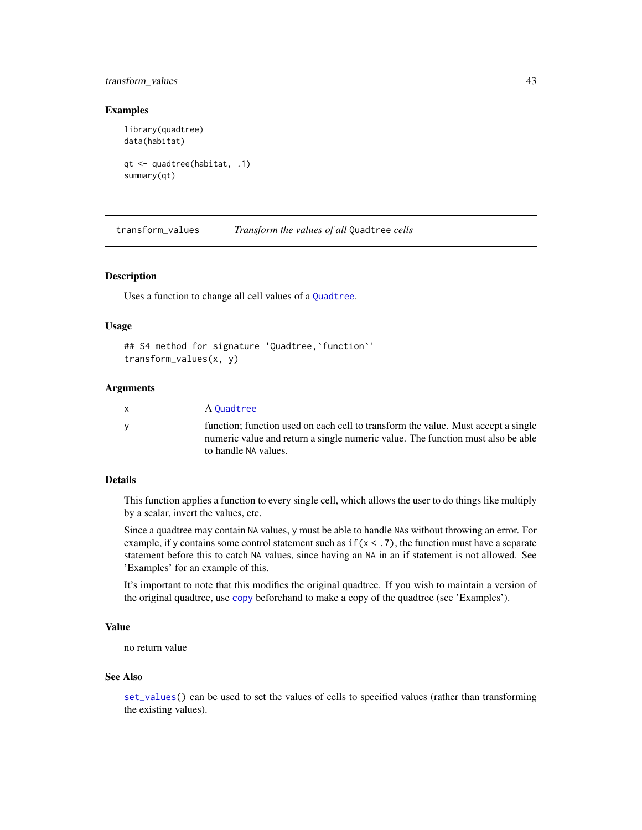## <span id="page-42-0"></span>transform\_values 43

#### Examples

```
library(quadtree)
data(habitat)
qt <- quadtree(habitat, .1)
summary(qt)
```
<span id="page-42-1"></span>transform\_values *Transform the values of all* Quadtree *cells*

## Description

Uses a function to change all cell values of a [Quadtree](#page-35-1).

### Usage

```
## S4 method for signature 'Quadtree,`function`'
transform_values(x, y)
```
## **Arguments**

| $\mathsf{x}$ | A Ouadtree                                                                                                                                                                                   |
|--------------|----------------------------------------------------------------------------------------------------------------------------------------------------------------------------------------------|
| <b>V</b>     | function; function used on each cell to transform the value. Must accept a single<br>numeric value and return a single numeric value. The function must also be able<br>to handle NA values. |

## Details

This function applies a function to every single cell, which allows the user to do things like multiply by a scalar, invert the values, etc.

Since a quadtree may contain NA values, y must be able to handle NAs without throwing an error. For example, if y contains some control statement such as  $if(x < .7)$ , the function must have a separate statement before this to catch NA values, since having an NA in an if statement is not allowed. See 'Examples' for an example of this.

It's important to note that this modifies the original quadtree. If you wish to maintain a version of the original quadtree, use [copy](#page-7-1) beforehand to make a copy of the quadtree (see 'Examples').

## Value

no return value

#### See Also

[set\\_values\(](#page-38-1)) can be used to set the values of cells to specified values (rather than transforming the existing values).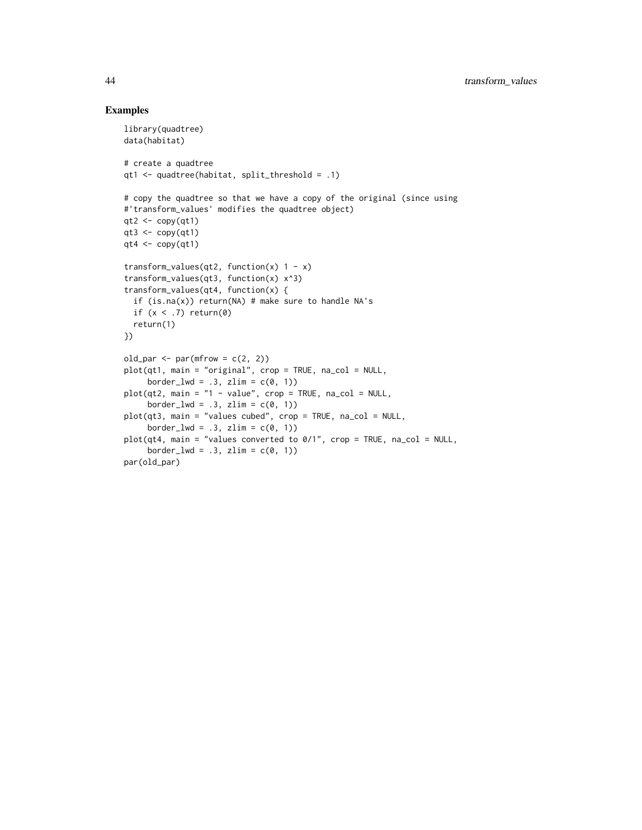```
library(quadtree)
data(habitat)
# create a quadtree
qt1 <- quadtree(habitat, split_threshold = .1)
# copy the quadtree so that we have a copy of the original (since using
#'transform_values' modifies the quadtree object)
qt2 < -\text{copy}(qt1)qt3 <- copy(qt1)
qt4 <- copy(qt1)transform_values(qt2, function(x) 1 - x)
transform_values(qt3, function(x) x^3)
transform_values(qt4, function(x) {
 if (is.na(x)) return(NA) # make sure to handle NA's
 if (x < .7) return(0)return(1)
})
old_par \leq par(mfrow = c(2, 2))
plot(qt1, main = "original", crop = TRUE, na_col = NULL,
     border_lwd = .3, zlim = c(0, 1))
plot(qt2, main = "1 - value", crop = TRUE, na_col = NULL,
     border_lwd = .3, zlim = c(0, 1))
plot(qt3, main = "values cubed", crop = TRUE, na_col = NULL,
     border_lwd = .3, zlim = c(0, 1))
plot(qt4, main = "values converted to 0/1", crop = TRUE, na_col = NULL,border_lwd = .3, zlim = c(0, 1))
par(old_par)
```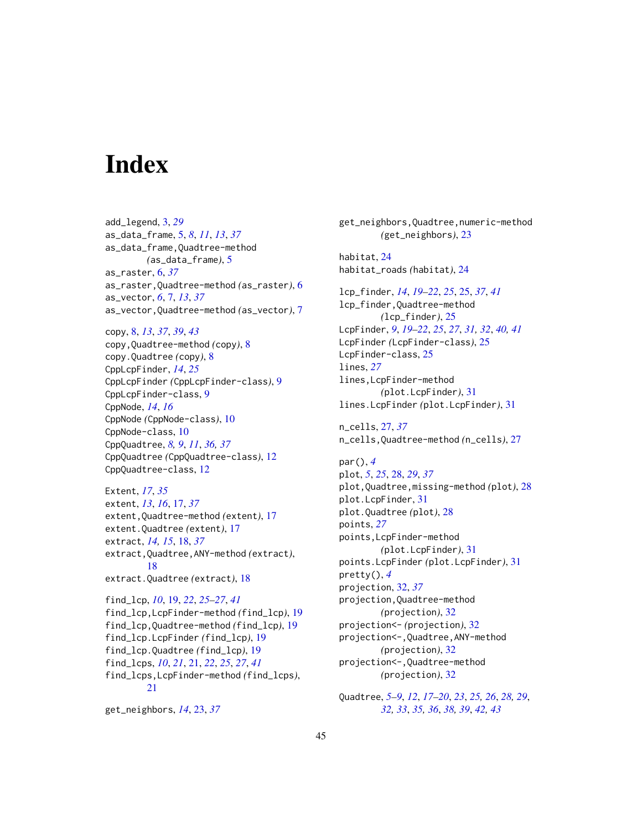# <span id="page-44-0"></span>**Index**

add\_legend, [3,](#page-2-0) *[29](#page-28-0)* as\_data\_frame, [5,](#page-4-0) *[8](#page-7-0)*, *[11](#page-10-0)*, *[13](#page-12-0)*, *[37](#page-36-0)* as\_data\_frame,Quadtree-method *(*as\_data\_frame*)*, [5](#page-4-0) as\_raster, [6,](#page-5-0) *[37](#page-36-0)* as\_raster,Quadtree-method *(*as\_raster*)*, [6](#page-5-0) as\_vector, *[6](#page-5-0)*, [7,](#page-6-0) *[13](#page-12-0)*, *[37](#page-36-0)* as\_vector,Quadtree-method *(*as\_vector*)*, [7](#page-6-0)

copy, [8,](#page-7-0) *[13](#page-12-0)*, *[37](#page-36-0)*, *[39](#page-38-0)*, *[43](#page-42-0)* copy,Quadtree-method *(*copy*)*, [8](#page-7-0) copy.Quadtree *(*copy*)*, [8](#page-7-0) CppLcpFinder, *[14](#page-13-0)*, *[25](#page-24-0)* CppLcpFinder *(*CppLcpFinder-class*)*, [9](#page-8-0) CppLcpFinder-class, [9](#page-8-0) CppNode, *[14](#page-13-0)*, *[16](#page-15-0)* CppNode *(*CppNode-class*)*, [10](#page-9-0) CppNode-class, [10](#page-9-0) CppQuadtree, *[8,](#page-7-0) [9](#page-8-0)*, *[11](#page-10-0)*, *[36,](#page-35-0) [37](#page-36-0)* CppQuadtree *(*CppQuadtree-class*)*, [12](#page-11-0) CppQuadtree-class, [12](#page-11-0)

Extent, *[17](#page-16-0)*, *[35](#page-34-0)* extent, *[13](#page-12-0)*, *[16](#page-15-0)*, [17,](#page-16-0) *[37](#page-36-0)* extent,Quadtree-method *(*extent*)*, [17](#page-16-0) extent.Quadtree *(*extent*)*, [17](#page-16-0) extract, *[14,](#page-13-0) [15](#page-14-0)*, [18,](#page-17-0) *[37](#page-36-0)* extract,Quadtree,ANY-method *(*extract*)*, [18](#page-17-0) extract.Quadtree *(*extract*)*, [18](#page-17-0)

find\_lcp, *[10](#page-9-0)*, [19,](#page-18-0) *[22](#page-21-0)*, *[25–](#page-24-0)[27](#page-26-0)*, *[41](#page-40-0)* find\_lcp,LcpFinder-method *(*find\_lcp*)*, [19](#page-18-0) find\_lcp,Quadtree-method *(*find\_lcp*)*, [19](#page-18-0) find\_lcp.LcpFinder *(*find\_lcp*)*, [19](#page-18-0) find\_lcp.Quadtree *(*find\_lcp*)*, [19](#page-18-0) find\_lcps, *[10](#page-9-0)*, *[21](#page-20-0)*, [21,](#page-20-0) *[22](#page-21-0)*, *[25](#page-24-0)*, *[27](#page-26-0)*, *[41](#page-40-0)* find\_lcps,LcpFinder-method *(*find\_lcps*)*, [21](#page-20-0)

get\_neighbors, *[14](#page-13-0)*, [23,](#page-22-0) *[37](#page-36-0)*

get\_neighbors,Quadtree,numeric-method *(*get\_neighbors*)*, [23](#page-22-0) habitat, [24](#page-23-0) habitat\_roads *(*habitat*)*, [24](#page-23-0) lcp\_finder, *[14](#page-13-0)*, *[19](#page-18-0)[–22](#page-21-0)*, *[25](#page-24-0)*, [25,](#page-24-0) *[37](#page-36-0)*, *[41](#page-40-0)* lcp\_finder,Quadtree-method *(*lcp\_finder*)*, [25](#page-24-0) LcpFinder, *[9](#page-8-0)*, *[19](#page-18-0)[–22](#page-21-0)*, *[25](#page-24-0)*, *[27](#page-26-0)*, *[31,](#page-30-0) [32](#page-31-0)*, *[40,](#page-39-0) [41](#page-40-0)* LcpFinder *(*LcpFinder-class*)*, [25](#page-24-0) LcpFinder-class, [25](#page-24-0) lines, *[27](#page-26-0)* lines,LcpFinder-method *(*plot.LcpFinder*)*, [31](#page-30-0) lines.LcpFinder *(*plot.LcpFinder*)*, [31](#page-30-0)

n\_cells, [27,](#page-26-0) *[37](#page-36-0)* n\_cells,Quadtree-method *(*n\_cells*)*, [27](#page-26-0)

par(), *[4](#page-3-0)* plot, *[5](#page-4-0)*, *[25](#page-24-0)*, [28,](#page-27-0) *[29](#page-28-0)*, *[37](#page-36-0)* plot,Quadtree,missing-method *(*plot*)*, [28](#page-27-0) plot.LcpFinder, [31](#page-30-0) plot.Quadtree *(*plot*)*, [28](#page-27-0) points, *[27](#page-26-0)* points,LcpFinder-method *(*plot.LcpFinder*)*, [31](#page-30-0) points.LcpFinder *(*plot.LcpFinder*)*, [31](#page-30-0) pretty(), *[4](#page-3-0)* projection, [32,](#page-31-0) *[37](#page-36-0)* projection,Quadtree-method *(*projection*)*, [32](#page-31-0) projection<- *(*projection*)*, [32](#page-31-0) projection<-,Quadtree,ANY-method *(*projection*)*, [32](#page-31-0) projection<-,Quadtree-method *(*projection*)*, [32](#page-31-0)

Quadtree, *[5](#page-4-0)[–9](#page-8-0)*, *[12](#page-11-0)*, *[17](#page-16-0)[–20](#page-19-0)*, *[23](#page-22-0)*, *[25,](#page-24-0) [26](#page-25-0)*, *[28,](#page-27-0) [29](#page-28-0)*, *[32,](#page-31-0) [33](#page-32-0)*, *[35,](#page-34-0) [36](#page-35-0)*, *[38,](#page-37-0) [39](#page-38-0)*, *[42,](#page-41-0) [43](#page-42-0)*